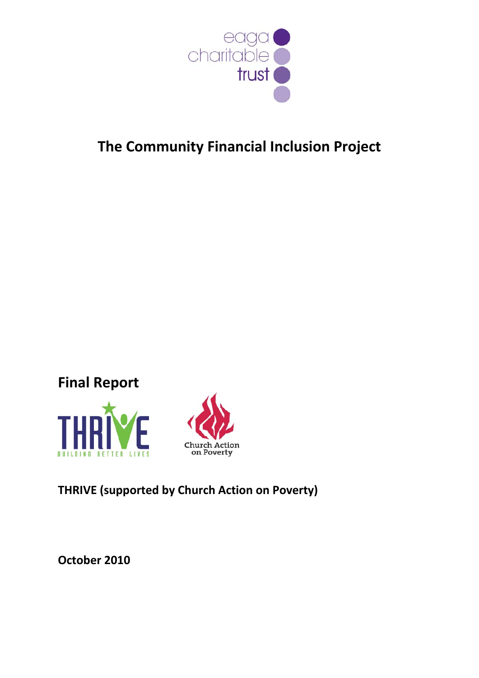

# **The Community Financial Inclusion Project**

# **Final Report**





# **THRIVE (supported by Church Action on Poverty)**

**October 2010**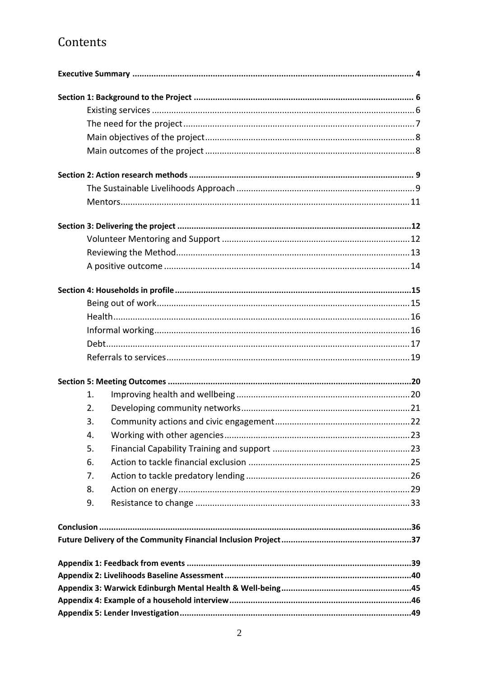# Contents

| 1. |  |
|----|--|
| 2. |  |
| 3. |  |
| 4. |  |
| 5. |  |
| 6. |  |
| 7. |  |
| 8. |  |
| 9. |  |
|    |  |
|    |  |
|    |  |
|    |  |
|    |  |
|    |  |
|    |  |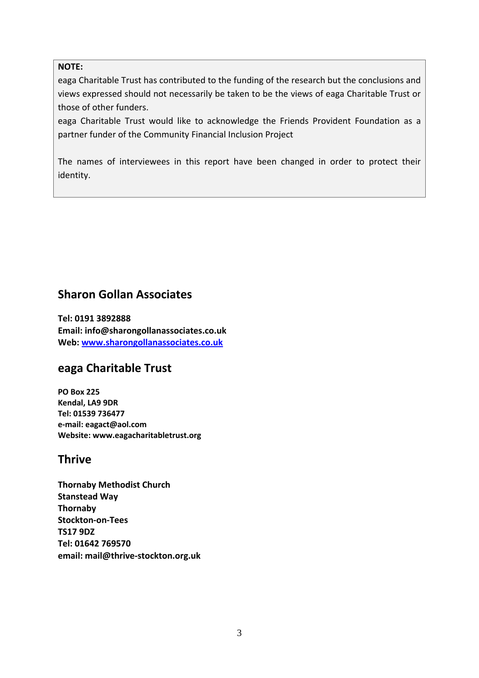#### **NOTE:**

eaga Charitable Trust has contributed to the funding of the research but the conclusions and views expressed should not necessarily be taken to be the views of eaga Charitable Trust or those of other funders.

eaga Charitable Trust would like to acknowledge the Friends Provident Foundation as a partner funder of the Community Financial Inclusion Project

The names of interviewees in this report have been changed in order to protect their identity.

### **Sharon Gollan Associates**

**Tel: 0191 3892888 Email: info@sharongollanassociates.co.uk Web: www.sharongollanassociates.co.uk**

### **eaga Charitable Trust**

**PO Box 225 Kendal, LA9 9DR Tel: 01539 736477 e‐mail: eagact@aol.com Website: www.eagacharitabletrust.org**

### **Thrive**

**Thornaby Methodist Church Stanstead Way Thornaby Stockton‐on‐Tees TS17 9DZ Tel: 01642 769570 email: mail@thrive‐stockton.org.uk**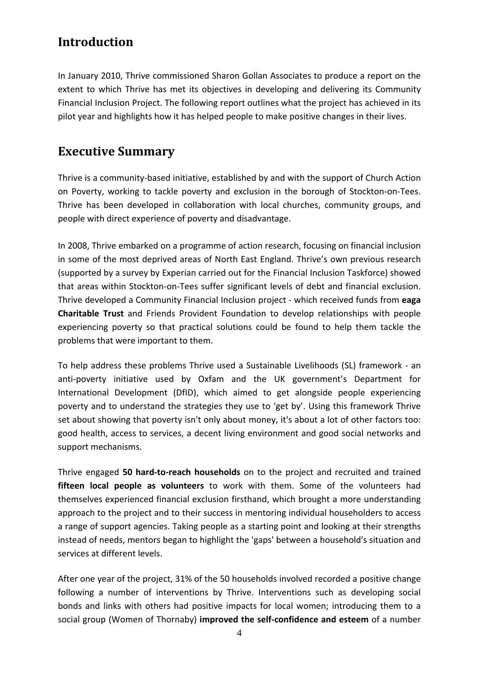# **Introduction**

In January 2010, Thrive commissioned Sharon Gollan Associates to produce a report on the extent to which Thrive has met its objectives in developing and delivering its Community Financial Inclusion Project. The following report outlines what the project has achieved in its pilot year and highlights how it has helped people to make positive changes in their lives.

# **Executive Summary**

Thrive is a community‐based initiative, established by and with the support of Church Action on Poverty, working to tackle poverty and exclusion in the borough of Stockton‐on‐Tees. Thrive has been developed in collaboration with local churches, community groups, and people with direct experience of poverty and disadvantage.

In 2008, Thrive embarked on a programme of action research, focusing on financial inclusion in some of the most deprived areas of North East England. Thrive's own previous research (supported by a survey by Experian carried out for the Financial Inclusion Taskforce) showed that areas within Stockton‐on‐Tees suffer significant levels of debt and financial exclusion. Thrive developed a Community Financial Inclusion project ‐ which received funds from **eaga Charitable Trust** and Friends Provident Foundation to develop relationships with people experiencing poverty so that practical solutions could be found to help them tackle the problems that were important to them.

To help address these problems Thrive used a Sustainable Livelihoods (SL) framework ‐ an anti-poverty initiative used by Oxfam and the UK government's Department for International Development (DfID), which aimed to get alongside people experiencing poverty and to understand the strategies they use to 'get by'. Using this framework Thrive set about showing that poverty isn't only about money, it's about a lot of other factors too: good health, access to services, a decent living environment and good social networks and support mechanisms.

Thrive engaged **50 hard‐to‐reach households** on to the project and recruited and trained **fifteen local people as volunteers** to work with them. Some of the volunteers had themselves experienced financial exclusion firsthand, which brought a more understanding approach to the project and to their success in mentoring individual householders to access a range of support agencies. Taking people as a starting point and looking at their strengths instead of needs, mentors began to highlight the 'gaps' between a household's situation and services at different levels.

After one year of the project, 31% of the 50 households involved recorded a positive change following a number of interventions by Thrive. Interventions such as developing social bonds and links with others had positive impacts for local women; introducing them to a social group (Women of Thornaby) **improved the self‐confidence and esteem** of a number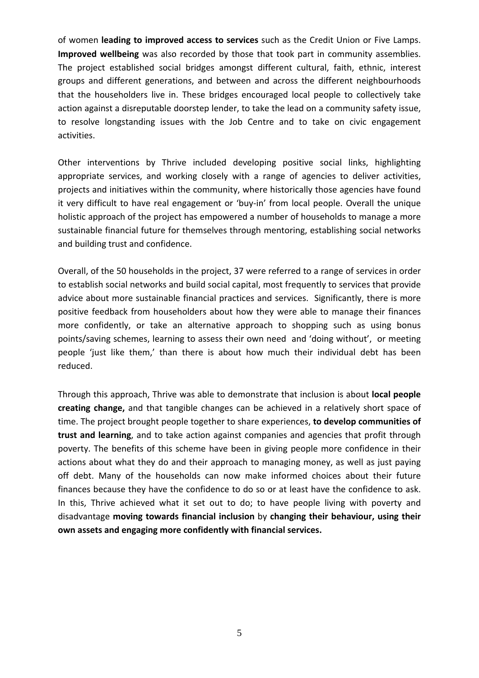of women **leading to improved access to services** such as the Credit Union or Five Lamps. **Improved wellbeing** was also recorded by those that took part in community assemblies. The project established social bridges amongst different cultural, faith, ethnic, interest groups and different generations, and between and across the different neighbourhoods that the householders live in. These bridges encouraged local people to collectively take action against a disreputable doorstep lender, to take the lead on a community safety issue, to resolve longstanding issues with the Job Centre and to take on civic engagement activities.

Other interventions by Thrive included developing positive social links, highlighting appropriate services, and working closely with a range of agencies to deliver activities, projects and initiatives within the community, where historically those agencies have found it very difficult to have real engagement or 'buy‐in' from local people. Overall the unique holistic approach of the project has empowered a number of households to manage a more sustainable financial future for themselves through mentoring, establishing social networks and building trust and confidence.

Overall, of the 50 households in the project, 37 were referred to a range of services in order to establish social networks and build social capital, most frequently to services that provide advice about more sustainable financial practices and services. Significantly, there is more positive feedback from householders about how they were able to manage their finances more confidently, or take an alternative approach to shopping such as using bonus points/saving schemes, learning to assess their own need and 'doing without', or meeting people 'just like them,' than there is about how much their individual debt has been reduced.

Through this approach, Thrive was able to demonstrate that inclusion is about **local people creating change,** and that tangible changes can be achieved in a relatively short space of time. The project brought people together to share experiences, **to develop communities of trust and learning**, and to take action against companies and agencies that profit through poverty. The benefits of this scheme have been in giving people more confidence in their actions about what they do and their approach to managing money, as well as just paying off debt. Many of the households can now make informed choices about their future finances because they have the confidence to do so or at least have the confidence to ask. In this, Thrive achieved what it set out to do; to have people living with poverty and disadvantage **moving towards financial inclusion** by **changing their behaviour, using their own assets and engaging more confidently with financial services.**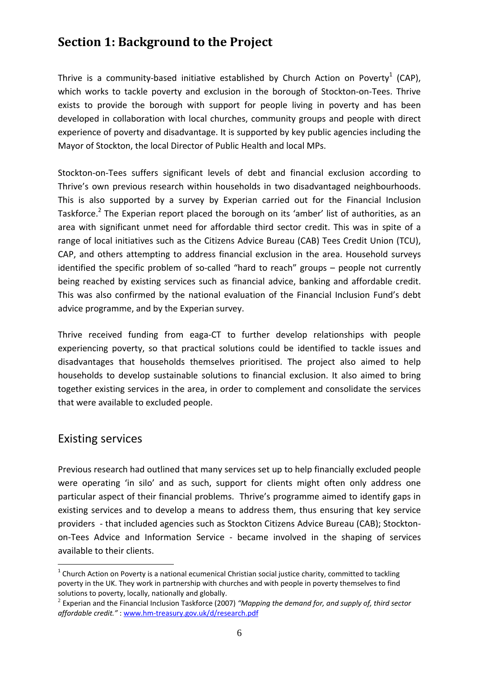# **Section 1: Background to the Project**

Thrive is a community-based initiative established by Church Action on Poverty<sup>1</sup> (CAP), which works to tackle poverty and exclusion in the borough of Stockton-on-Tees. Thrive exists to provide the borough with support for people living in poverty and has been developed in collaboration with local churches, community groups and people with direct experience of poverty and disadvantage. It is supported by key public agencies including the Mayor of Stockton, the local Director of Public Health and local MPs.

Stockton-on-Tees suffers significant levels of debt and financial exclusion according to Thrive's own previous research within households in two disadvantaged neighbourhoods. This is also supported by a survey by Experian carried out for the Financial Inclusion Taskforce.<sup>2</sup> The Experian report placed the borough on its 'amber' list of authorities, as an area with significant unmet need for affordable third sector credit. This was in spite of a range of local initiatives such as the Citizens Advice Bureau (CAB) Tees Credit Union (TCU), CAP, and others attempting to address financial exclusion in the area. Household surveys identified the specific problem of so-called "hard to reach" groups – people not currently being reached by existing services such as financial advice, banking and affordable credit. This was also confirmed by the national evaluation of the Financial Inclusion Fund's debt advice programme, and by the Experian survey.

Thrive received funding from eaga‐CT to further develop relationships with people experiencing poverty, so that practical solutions could be identified to tackle issues and disadvantages that households themselves prioritised. The project also aimed to help households to develop sustainable solutions to financial exclusion. It also aimed to bring together existing services in the area, in order to complement and consolidate the services that were available to excluded people.

### Existing services

<u>.</u>

Previous research had outlined that many services set up to help financially excluded people were operating 'in silo' and as such, support for clients might often only address one particular aspect of their financial problems. Thrive's programme aimed to identify gaps in existing services and to develop a means to address them, thus ensuring that key service providers - that included agencies such as Stockton Citizens Advice Bureau (CAB); Stocktonon‐Tees Advice and Information Service ‐ became involved in the shaping of services available to their clients.

 $1$  Church Action on Poverty is a national ecumenical Christian social justice charity, committed to tackling poverty in the UK. They work in partnership with churches and with people in poverty themselves to find solutions to poverty, locally, nationally and globally.<br><sup>2</sup> Experian and the Financial Inclusion Taskforce (2007) "Mapping the demand for, and supply of, third sector

*affordable credit."* : www.hm‐treasury.gov.uk/d/research.pdf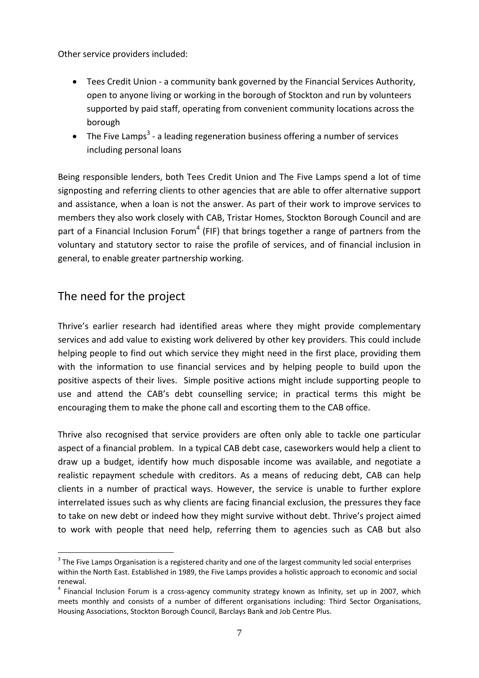Other service providers included:

- Tees Credit Union ‐ a community bank governed by the Financial Services Authority, open to anyone living or working in the borough of Stockton and run by volunteers supported by paid staff, operating from convenient community locations across the borough
- The Five Lamps<sup>3</sup> a leading regeneration business offering a number of services including personal loans

Being responsible lenders, both Tees Credit Union and The Five Lamps spend a lot of time signposting and referring clients to other agencies that are able to offer alternative support and assistance, when a loan is not the answer. As part of their work to improve services to members they also work closely with CAB, Tristar Homes, Stockton Borough Council and are part of a Financial Inclusion Forum<sup>4</sup> (FIF) that brings together a range of partners from the voluntary and statutory sector to raise the profile of services, and of financial inclusion in general, to enable greater partnership working.

## The need for the project

1

Thrive's earlier research had identified areas where they might provide complementary services and add value to existing work delivered by other key providers. This could include helping people to find out which service they might need in the first place, providing them with the information to use financial services and by helping people to build upon the positive aspects of their lives. Simple positive actions might include supporting people to use and attend the CAB's debt counselling service; in practical terms this might be encouraging them to make the phone call and escorting them to the CAB office.

Thrive also recognised that service providers are often only able to tackle one particular aspect of a financial problem. In a typical CAB debt case, caseworkers would help a client to draw up a budget, identify how much disposable income was available, and negotiate a realistic repayment schedule with creditors. As a means of reducing debt, CAB can help clients in a number of practical ways. However, the service is unable to further explore interrelated issues such as why clients are facing financial exclusion, the pressures they face to take on new debt or indeed how they might survive without debt. Thrive's project aimed to work with people that need help, referring them to agencies such as CAB but also

 $3$  The Five Lamps Organisation is a registered charity and one of the largest community led social enterprises within the North East. Established in 1989, the Five Lamps provides a holistic approach to economic and social renewal.

<sup>&</sup>lt;sup>4</sup> Financial Inclusion Forum is a cross-agency community strategy known as Infinity, set up in 2007, which meets monthly and consists of a number of different organisations including: Third Sector Organisations, Housing Associations, Stockton Borough Council, Barclays Bank and Job Centre Plus.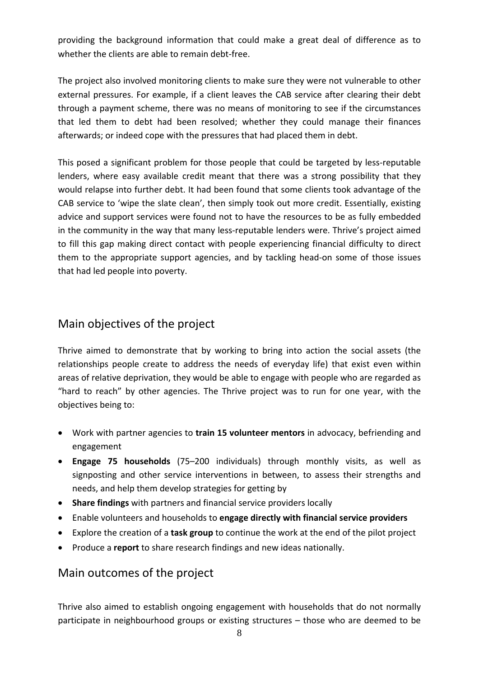providing the background information that could make a great deal of difference as to whether the clients are able to remain debt-free.

The project also involved monitoring clients to make sure they were not vulnerable to other external pressures. For example, if a client leaves the CAB service after clearing their debt through a payment scheme, there was no means of monitoring to see if the circumstances that led them to debt had been resolved; whether they could manage their finances afterwards; or indeed cope with the pressures that had placed them in debt.

This posed a significant problem for those people that could be targeted by less-reputable lenders, where easy available credit meant that there was a strong possibility that they would relapse into further debt. It had been found that some clients took advantage of the CAB service to 'wipe the slate clean', then simply took out more credit. Essentially, existing advice and support services were found not to have the resources to be as fully embedded in the community in the way that many less-reputable lenders were. Thrive's project aimed to fill this gap making direct contact with people experiencing financial difficulty to direct them to the appropriate support agencies, and by tackling head‐on some of those issues that had led people into poverty.

## Main objectives of the project

Thrive aimed to demonstrate that by working to bring into action the social assets (the relationships people create to address the needs of everyday life) that exist even within areas of relative deprivation, they would be able to engage with people who are regarded as "hard to reach" by other agencies. The Thrive project was to run for one year, with the objectives being to:

- Work with partner agencies to **train 15 volunteer mentors** in advocacy, befriending and engagement
- **Engage 75 households** (75–200 individuals) through monthly visits, as well as signposting and other service interventions in between, to assess their strengths and needs, and help them develop strategies for getting by
- **Share findings** with partners and financial service providers locally
- Enable volunteers and households to **engage directly with financial service providers**
- Explore the creation of a **task group** to continue the work at the end of the pilot project
- Produce a **report** to share research findings and new ideas nationally.

## Main outcomes of the project

Thrive also aimed to establish ongoing engagement with households that do not normally participate in neighbourhood groups or existing structures – those who are deemed to be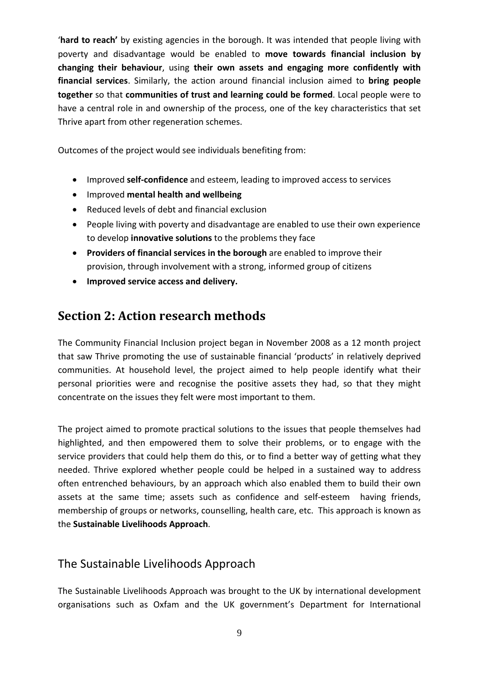'**hard to reach'** by existing agencies in the borough. It was intended that people living with poverty and disadvantage would be enabled to **move towards financial inclusion by changing their behaviour**, using **their own assets and engaging more confidently with financial services**. Similarly, the action around financial inclusion aimed to **bring people together** so that **communities of trust and learning could be formed**. Local people were to have a central role in and ownership of the process, one of the key characteristics that set Thrive apart from other regeneration schemes.

Outcomes of the project would see individuals benefiting from:

- Improved **self‐confidence** and esteem, leading to improved access to services
- Improved **mental health and wellbeing**
- Reduced levels of debt and financial exclusion
- People living with poverty and disadvantage are enabled to use their own experience to develop **innovative solutions** to the problems they face
- **Providers of financial services in the borough** are enabled to improve their provision, through involvement with a strong, informed group of citizens
- **Improved service access and delivery.**

# **Section 2: Action research methods**

The Community Financial Inclusion project began in November 2008 as a 12 month project that saw Thrive promoting the use of sustainable financial 'products' in relatively deprived communities. At household level, the project aimed to help people identify what their personal priorities were and recognise the positive assets they had, so that they might concentrate on the issues they felt were most important to them.

The project aimed to promote practical solutions to the issues that people themselves had highlighted, and then empowered them to solve their problems, or to engage with the service providers that could help them do this, or to find a better way of getting what they needed. Thrive explored whether people could be helped in a sustained way to address often entrenched behaviours, by an approach which also enabled them to build their own assets at the same time; assets such as confidence and self-esteem having friends, membership of groups or networks, counselling, health care, etc. This approach is known as the **Sustainable Livelihoods Approach**.

### The Sustainable Livelihoods Approach

The Sustainable Livelihoods Approach was brought to the UK by international development organisations such as Oxfam and the UK government's Department for International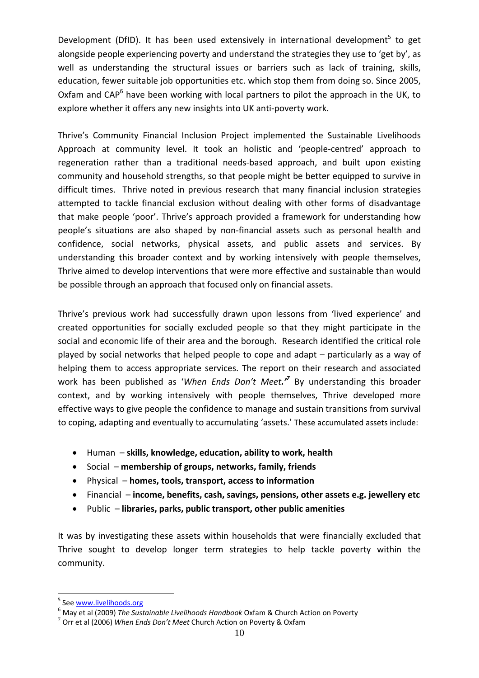Development (DfID). It has been used extensively in international development<sup>5</sup> to get alongside people experiencing poverty and understand the strategies they use to 'get by', as well as understanding the structural issues or barriers such as lack of training, skills, education, fewer suitable job opportunities etc. which stop them from doing so. Since 2005, Oxfam and  $CAP<sup>6</sup>$  have been working with local partners to pilot the approach in the UK, to explore whether it offers any new insights into UK anti‐poverty work.

Thrive's Community Financial Inclusion Project implemented the Sustainable Livelihoods Approach at community level. It took an holistic and 'people‐centred' approach to regeneration rather than a traditional needs‐based approach, and built upon existing community and household strengths, so that people might be better equipped to survive in difficult times. Thrive noted in previous research that many financial inclusion strategies attempted to tackle financial exclusion without dealing with other forms of disadvantage that make people 'poor'. Thrive's approach provided a framework for understanding how people's situations are also shaped by non-financial assets such as personal health and confidence, social networks, physical assets, and public assets and services. By understanding this broader context and by working intensively with people themselves, Thrive aimed to develop interventions that were more effective and sustainable than would be possible through an approach that focused only on financial assets.

Thrive's previous work had successfully drawn upon lessons from 'lived experience' and created opportunities for socially excluded people so that they might participate in the social and economic life of their area and the borough. Research identified the critical role played by social networks that helped people to cope and adapt – particularly as a way of helping them to access appropriate services. The report on their research and associated work has been published as '*When Ends Don't Meet.'7* By understanding this broader context, and by working intensively with people themselves, Thrive developed more effective ways to give people the confidence to manage and sustain transitions from survival to coping, adapting and eventually to accumulating 'assets.' These accumulated assets include:

- Human **skills, knowledge, education, ability to work, health**
- Social **membership of groups, networks, family, friends**
- Physical **homes, tools, transport, access to information**
- Financial **income, benefits, cash, savings, pensions, other assets e.g. jewellery etc**
- Public **libraries, parks, public transport, other public amenities**

It was by investigating these assets within households that were financially excluded that Thrive sought to develop longer term strategies to help tackle poverty within the community.

1

<sup>&</sup>lt;sup>5</sup> See www.livelihoods.org

<sup>6</sup> May et al (2009) *The Sustainable Livelihoods Handbook* Oxfam & Church Action on Poverty <sup>7</sup> Orr et al (2006) *When Ends Don't Meet* Church Action on Poverty & Oxfam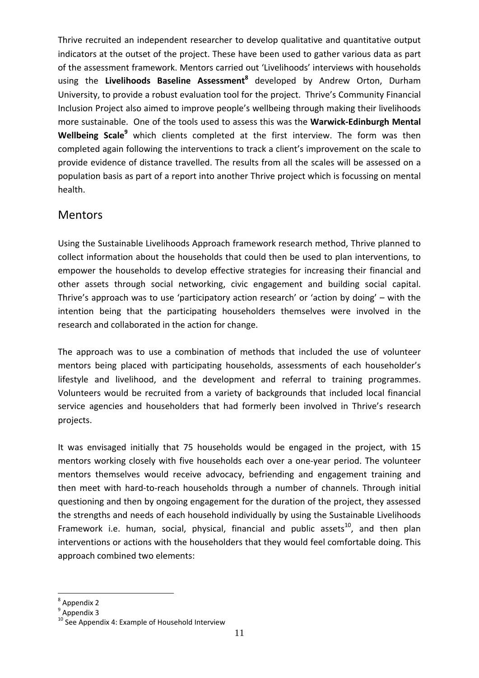Thrive recruited an independent researcher to develop qualitative and quantitative output indicators at the outset of the project. These have been used to gather various data as part of the assessment framework. Mentors carried out 'Livelihoods' interviews with households using the **Livelihoods Baseline Assessment8** developed by Andrew Orton, Durham University, to provide a robust evaluation tool for the project. Thrive's Community Financial Inclusion Project also aimed to improve people's wellbeing through making their livelihoods more sustainable. One of the tools used to assess this was the **Warwick‐Edinburgh Mental Wellbeing Scale<sup>9</sup>** which clients completed at the first interview. The form was then completed again following the interventions to track a client's improvement on the scale to provide evidence of distance travelled. The results from all the scales will be assessed on a population basis as part of a report into another Thrive project which is focussing on mental health.

### **Mentors**

Using the Sustainable Livelihoods Approach framework research method, Thrive planned to collect information about the households that could then be used to plan interventions, to empower the households to develop effective strategies for increasing their financial and other assets through social networking, civic engagement and building social capital. Thrive's approach was to use 'participatory action research' or 'action by doing' – with the intention being that the participating householders themselves were involved in the research and collaborated in the action for change.

The approach was to use a combination of methods that included the use of volunteer mentors being placed with participating households, assessments of each householder's lifestyle and livelihood, and the development and referral to training programmes. Volunteers would be recruited from a variety of backgrounds that included local financial service agencies and householders that had formerly been involved in Thrive's research projects.

It was envisaged initially that 75 households would be engaged in the project, with 15 mentors working closely with five households each over a one‐year period. The volunteer mentors themselves would receive advocacy, befriending and engagement training and then meet with hard‐to‐reach households through a number of channels. Through initial questioning and then by ongoing engagement for the duration of the project, they assessed the strengths and needs of each household individually by using the Sustainable Livelihoods Framework i.e. human, social, physical, financial and public assets $^{10}$ , and then plan interventions or actions with the householders that they would feel comfortable doing. This approach combined two elements:

1

<sup>&</sup>lt;sup>8</sup> Appendix 2<br><sup>9</sup> Appendix 3<br><sup>10</sup> See Appendix 4: Example of Household Interview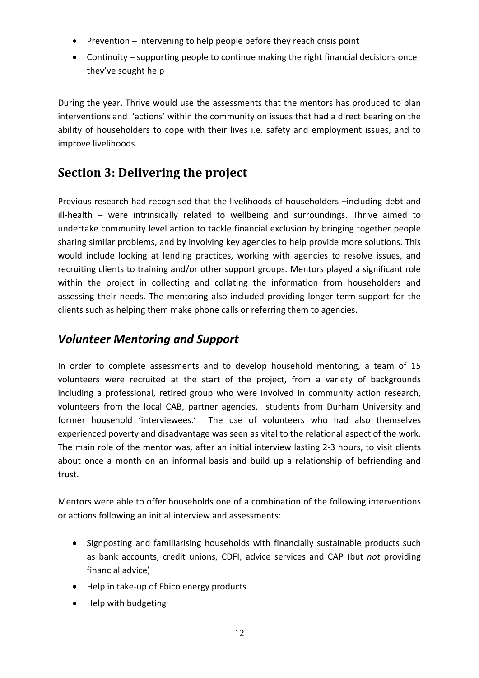- Prevention intervening to help people before they reach crisis point
- Continuity supporting people to continue making the right financial decisions once they've sought help

During the year, Thrive would use the assessments that the mentors has produced to plan interventions and 'actions' within the community on issues that had a direct bearing on the ability of householders to cope with their lives i.e. safety and employment issues, and to improve livelihoods.

# **Section 3: Delivering the project**

Previous research had recognised that the livelihoods of householders –including debt and ill-health – were intrinsically related to wellbeing and surroundings. Thrive aimed to undertake community level action to tackle financial exclusion by bringing together people sharing similar problems, and by involving key agencies to help provide more solutions. This would include looking at lending practices, working with agencies to resolve issues, and recruiting clients to training and/or other support groups. Mentors played a significant role within the project in collecting and collating the information from householders and assessing their needs. The mentoring also included providing longer term support for the clients such as helping them make phone calls or referring them to agencies.

# *Volunteer Mentoring and Support*

In order to complete assessments and to develop household mentoring, a team of 15 volunteers were recruited at the start of the project, from a variety of backgrounds including a professional, retired group who were involved in community action research, volunteers from the local CAB, partner agencies, students from Durham University and former household 'interviewees.' The use of volunteers who had also themselves experienced poverty and disadvantage was seen as vital to the relational aspect of the work. The main role of the mentor was, after an initial interview lasting 2‐3 hours, to visit clients about once a month on an informal basis and build up a relationship of befriending and trust.

Mentors were able to offer households one of a combination of the following interventions or actions following an initial interview and assessments:

- Signposting and familiarising households with financially sustainable products such as bank accounts, credit unions, CDFI, advice services and CAP (but *not* providing financial advice)
- Help in take‐up of Ebico energy products
- Help with budgeting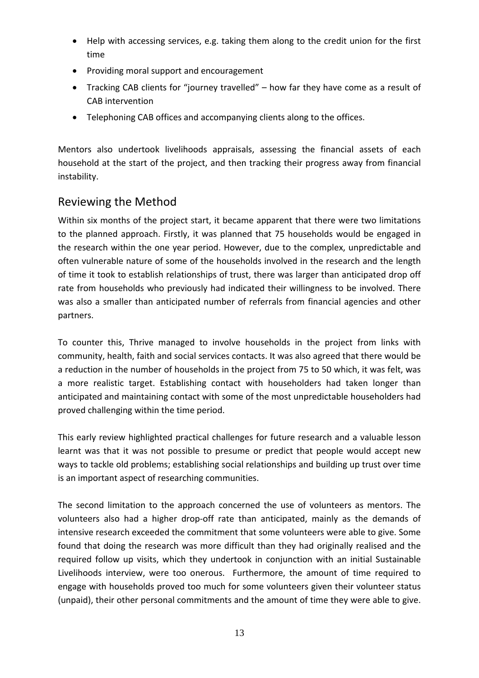- Help with accessing services, e.g. taking them along to the credit union for the first time
- Providing moral support and encouragement
- Tracking CAB clients for "journey travelled" how far they have come as a result of CAB intervention
- Telephoning CAB offices and accompanying clients along to the offices.

Mentors also undertook livelihoods appraisals, assessing the financial assets of each household at the start of the project, and then tracking their progress away from financial instability.

## Reviewing the Method

Within six months of the project start, it became apparent that there were two limitations to the planned approach. Firstly, it was planned that 75 households would be engaged in the research within the one year period. However, due to the complex, unpredictable and often vulnerable nature of some of the households involved in the research and the length of time it took to establish relationships of trust, there was larger than anticipated drop off rate from households who previously had indicated their willingness to be involved. There was also a smaller than anticipated number of referrals from financial agencies and other partners.

To counter this, Thrive managed to involve households in the project from links with community, health, faith and social services contacts. It was also agreed that there would be a reduction in the number of households in the project from 75 to 50 which, it was felt, was a more realistic target. Establishing contact with householders had taken longer than anticipated and maintaining contact with some of the most unpredictable householders had proved challenging within the time period.

This early review highlighted practical challenges for future research and a valuable lesson learnt was that it was not possible to presume or predict that people would accept new ways to tackle old problems; establishing social relationships and building up trust over time is an important aspect of researching communities.

The second limitation to the approach concerned the use of volunteers as mentors. The volunteers also had a higher drop-off rate than anticipated, mainly as the demands of intensive research exceeded the commitment that some volunteers were able to give. Some found that doing the research was more difficult than they had originally realised and the required follow up visits, which they undertook in conjunction with an initial Sustainable Livelihoods interview, were too onerous. Furthermore, the amount of time required to engage with households proved too much for some volunteers given their volunteer status (unpaid), their other personal commitments and the amount of time they were able to give.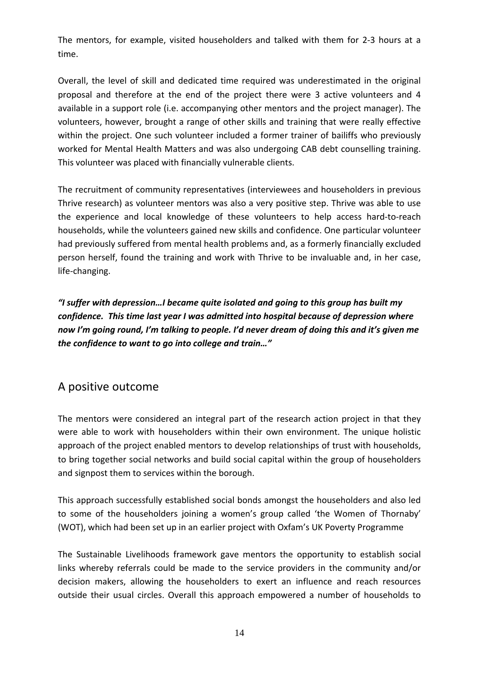The mentors, for example, visited householders and talked with them for 2‐3 hours at a time.

Overall, the level of skill and dedicated time required was underestimated in the original proposal and therefore at the end of the project there were 3 active volunteers and 4 available in a support role (i.e. accompanying other mentors and the project manager). The volunteers, however, brought a range of other skills and training that were really effective within the project. One such volunteer included a former trainer of bailiffs who previously worked for Mental Health Matters and was also undergoing CAB debt counselling training. This volunteer was placed with financially vulnerable clients.

The recruitment of community representatives (interviewees and householders in previous Thrive research) as volunteer mentors was also a very positive step. Thrive was able to use the experience and local knowledge of these volunteers to help access hard‐to‐reach households, while the volunteers gained new skills and confidence. One particular volunteer had previously suffered from mental health problems and, as a formerly financially excluded person herself, found the training and work with Thrive to be invaluable and, in her case, life‐changing.

*"I suffer with depression…I became quite isolated and going to this group has built my confidence. This time last year I was admitted into hospital because of depression where now I'm going round, I'm talking to people. I'd never dream of doing this and it's given me the confidence to want to go into college and train…"*

### A positive outcome

The mentors were considered an integral part of the research action project in that they were able to work with householders within their own environment. The unique holistic approach of the project enabled mentors to develop relationships of trust with households, to bring together social networks and build social capital within the group of householders and signpost them to services within the borough.

This approach successfully established social bonds amongst the householders and also led to some of the householders joining a women's group called 'the Women of Thornaby' (WOT), which had been set up in an earlier project with Oxfam's UK Poverty Programme

The Sustainable Livelihoods framework gave mentors the opportunity to establish social links whereby referrals could be made to the service providers in the community and/or decision makers, allowing the householders to exert an influence and reach resources outside their usual circles. Overall this approach empowered a number of households to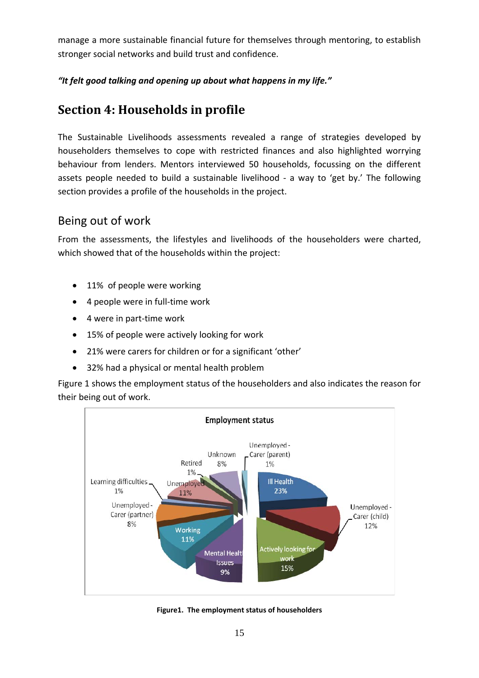manage a more sustainable financial future for themselves through mentoring, to establish stronger social networks and build trust and confidence.

### *"It felt good talking and opening up about what happens in my life."*

# **Section 4: Households in profile**

The Sustainable Livelihoods assessments revealed a range of strategies developed by householders themselves to cope with restricted finances and also highlighted worrying behaviour from lenders. Mentors interviewed 50 households, focussing on the different assets people needed to build a sustainable livelihood - a way to 'get by.' The following section provides a profile of the households in the project.

## Being out of work

From the assessments, the lifestyles and livelihoods of the householders were charted, which showed that of the households within the project:

- 11% of people were working
- 4 people were in full-time work
- 4 were in part‐time work
- 15% of people were actively looking for work
- 21% were carers for children or for a significant 'other'
- 32% had a physical or mental health problem

Figure 1 shows the employment status of the householders and also indicates the reason for their being out of work.



**Figure1. The employment status of householders**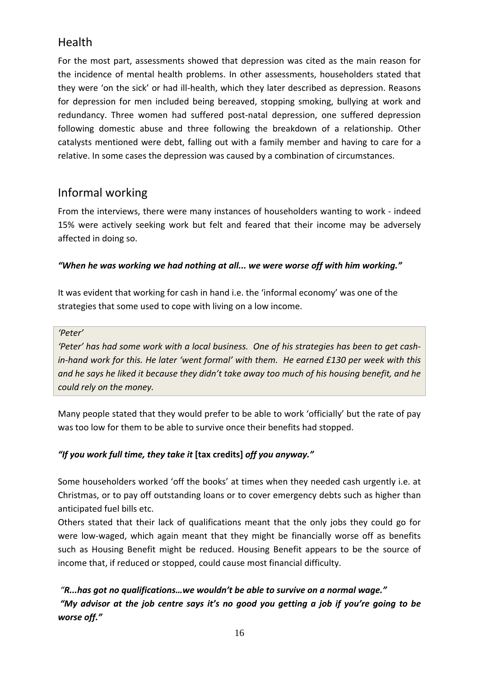# **Health**

For the most part, assessments showed that depression was cited as the main reason for the incidence of mental health problems. In other assessments, householders stated that they were 'on the sick' or had ill‐health, which they later described as depression. Reasons for depression for men included being bereaved, stopping smoking, bullying at work and redundancy. Three women had suffered post‐natal depression, one suffered depression following domestic abuse and three following the breakdown of a relationship. Other catalysts mentioned were debt, falling out with a family member and having to care for a relative. In some cases the depression was caused by a combination of circumstances.

## Informal working

From the interviews, there were many instances of householders wanting to work ‐ indeed 15% were actively seeking work but felt and feared that their income may be adversely affected in doing so.

### *"When he was working we had nothing at all... we were worse off with him working."*

It was evident that working for cash in hand i.e. the 'informal economy' was one of the strategies that some used to cope with living on a low income.

#### *'Peter'*

'Peter' has had some work with a local business. One of his strategies has been to get cashin-hand work for this. He later 'went formal' with them. He earned £130 per week with this and he says he liked it because they didn't take away too much of his housing benefit, and he *could rely on the money.*

Many people stated that they would prefer to be able to work 'officially' but the rate of pay was too low for them to be able to survive once their benefits had stopped.

### *"If you work full time, they take it* **[tax credits]** *off you anyway."*

Some householders worked 'off the books' at times when they needed cash urgently i.e. at Christmas, or to pay off outstanding loans or to cover emergency debts such as higher than anticipated fuel bills etc.

Others stated that their lack of qualifications meant that the only jobs they could go for were low-waged, which again meant that they might be financially worse off as benefits such as Housing Benefit might be reduced. Housing Benefit appears to be the source of income that, if reduced or stopped, could cause most financial difficulty.

*"R...has got no qualifications…we wouldn't be able to survive on a normal wage." "My advisor at the job centre says it's no good you getting a job if you're going to be worse off."*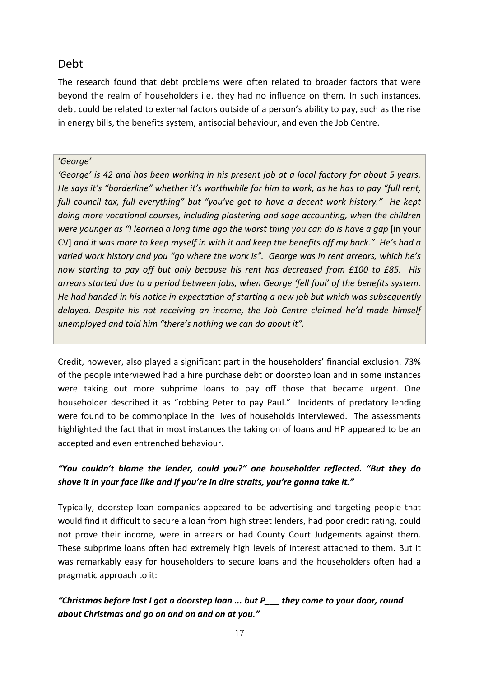### Debt

The research found that debt problems were often related to broader factors that were beyond the realm of householders i.e. they had no influence on them. In such instances, debt could be related to external factors outside of a person's ability to pay, such as the rise in energy bills, the benefits system, antisocial behaviour, and even the Job Centre.

### '*George'*

'George' is 42 and has been working in his present job at a local factory for about 5 years. *He says it's "borderline" whether it's worthwhile for him to work, as he has to pay "full rent, full council tax, full everything" but "you've got to have a decent work history." He kept doing more vocational courses, including plastering and sage accounting, when the children* were younger as "I learned a long time ago the worst thing you can do is have a gap [in your CV] and it was more to keep myself in with it and keep the benefits off my back." He's had a *varied work history and you "go where the work is". George was in rent arrears, which he's now starting to pay off but only because his rent has decreased from £100 to £85. His arrears started due to a period between jobs, when George 'fell foul' of the benefits system. He had handed in his notice in expectation of starting a new job but which was subsequently delayed. Despite his not receiving an income, the Job Centre claimed he'd made himself unemployed and told him "there's nothing we can do about it".*

Credit, however, also played a significant part in the householders' financial exclusion. 73% of the people interviewed had a hire purchase debt or doorstep loan and in some instances were taking out more subprime loans to pay off those that became urgent. One householder described it as "robbing Peter to pay Paul." Incidents of predatory lending were found to be commonplace in the lives of households interviewed. The assessments highlighted the fact that in most instances the taking on of loans and HP appeared to be an accepted and even entrenched behaviour.

### *"You couldn't blame the lender, could you?" one householder reflected. "But they do shove it in your face like and if you're in dire straits, you're gonna take it."*

Typically, doorstep loan companies appeared to be advertising and targeting people that would find it difficult to secure a loan from high street lenders, had poor credit rating, could not prove their income, were in arrears or had County Court Judgements against them. These subprime loans often had extremely high levels of interest attached to them. But it was remarkably easy for householders to secure loans and the householders often had a pragmatic approach to it:

### *"Christmas before last I got a doorstep loan ... but P\_\_\_ they come to your door, round about Christmas and go on and on and on at you."*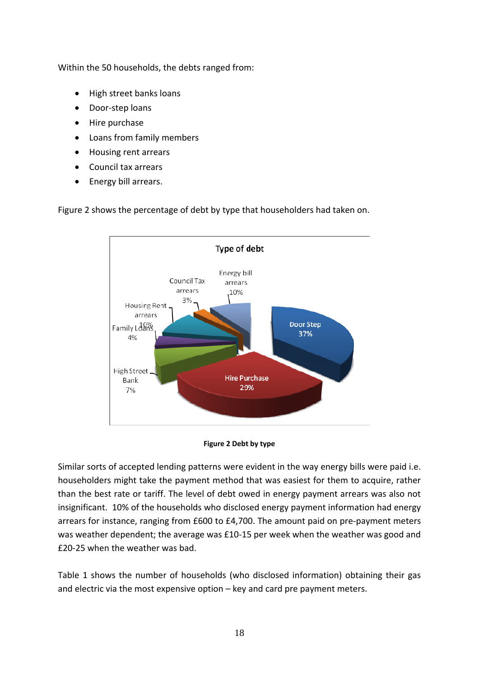Within the 50 households, the debts ranged from:

- High street banks loans
- Door‐step loans
- Hire purchase
- Loans from family members
- Housing rent arrears
- Council tax arrears
- Energy bill arrears.



Figure 2 shows the percentage of debt by type that householders had taken on.

#### **Figure 2 Debt by type**

Similar sorts of accepted lending patterns were evident in the way energy bills were paid i.e. householders might take the payment method that was easiest for them to acquire, rather than the best rate or tariff. The level of debt owed in energy payment arrears was also not insignificant. 10% of the households who disclosed energy payment information had energy arrears for instance, ranging from £600 to £4,700. The amount paid on pre‐payment meters was weather dependent; the average was £10‐15 per week when the weather was good and £20‐25 when the weather was bad.

Table 1 shows the number of households (who disclosed information) obtaining their gas and electric via the most expensive option – key and card pre payment meters.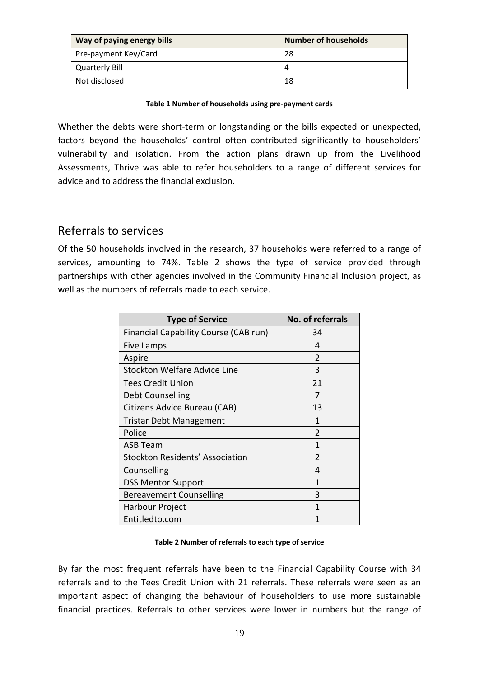| Way of paying energy bills | <b>Number of households</b> |
|----------------------------|-----------------------------|
| Pre-payment Key/Card       | 28                          |
| Quarterly Bill             |                             |
| Not disclosed              | 18                          |

#### **Table 1 Number of households using pre‐payment cards**

Whether the debts were short-term or longstanding or the bills expected or unexpected, factors beyond the households' control often contributed significantly to householders' vulnerability and isolation. From the action plans drawn up from the Livelihood Assessments, Thrive was able to refer householders to a range of different services for advice and to address the financial exclusion.

### Referrals to services

Of the 50 households involved in the research, 37 households were referred to a range of services, amounting to 74%. Table 2 shows the type of service provided through partnerships with other agencies involved in the Community Financial Inclusion project, as well as the numbers of referrals made to each service.

| <b>Type of Service</b>                       | No. of referrals |
|----------------------------------------------|------------------|
| <b>Financial Capability Course (CAB run)</b> | 34               |
| Five Lamps                                   | 4                |
| Aspire                                       | $\overline{2}$   |
| <b>Stockton Welfare Advice Line</b>          | 3                |
| <b>Tees Credit Union</b>                     | 21               |
| Debt Counselling                             | 7                |
| Citizens Advice Bureau (CAB)                 | 13               |
| <b>Tristar Debt Management</b>               | 1                |
| Police                                       | $\mathfrak{D}$   |
| <b>ASB Team</b>                              | 1                |
| Stockton Residents' Association              | $\mathfrak{p}$   |
| Counselling                                  | 4                |
| <b>DSS Mentor Support</b>                    | 1                |
| <b>Bereavement Counselling</b>               | 3                |
| Harbour Project                              | 1                |
| Entitledto.com                               |                  |

#### **Table 2 Number of referrals to each type of service**

By far the most frequent referrals have been to the Financial Capability Course with 34 referrals and to the Tees Credit Union with 21 referrals. These referrals were seen as an important aspect of changing the behaviour of householders to use more sustainable financial practices. Referrals to other services were lower in numbers but the range of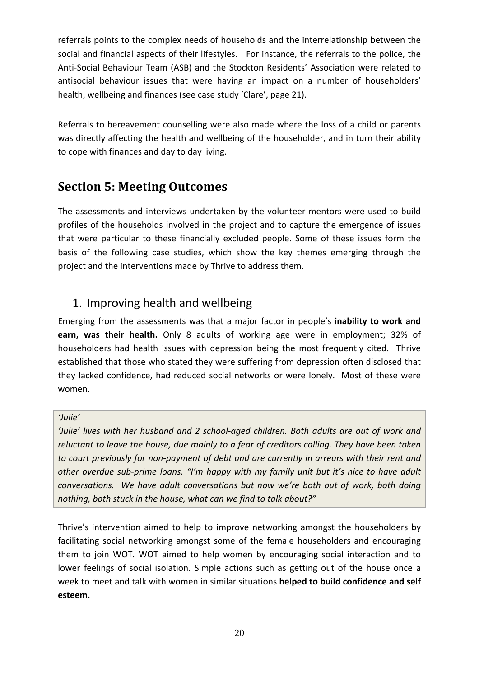referrals points to the complex needs of households and the interrelationship between the social and financial aspects of their lifestyles. For instance, the referrals to the police, the Anti‐Social Behaviour Team (ASB) and the Stockton Residents' Association were related to antisocial behaviour issues that were having an impact on a number of householders' health, wellbeing and finances (see case study 'Clare', page 21).

Referrals to bereavement counselling were also made where the loss of a child or parents was directly affecting the health and wellbeing of the householder, and in turn their ability to cope with finances and day to day living.

# **Section 5: Meeting Outcomes**

The assessments and interviews undertaken by the volunteer mentors were used to build profiles of the households involved in the project and to capture the emergence of issues that were particular to these financially excluded people. Some of these issues form the basis of the following case studies, which show the key themes emerging through the project and the interventions made by Thrive to address them.

## 1. Improving health and wellbeing

Emerging from the assessments was that a major factor in people's **inability to work and earn, was their health.** Only 8 adults of working age were in employment; 32% of householders had health issues with depression being the most frequently cited. Thrive established that those who stated they were suffering from depression often disclosed that they lacked confidence, had reduced social networks or were lonely. Most of these were women.

#### *'Julie'*

*'Julie' lives with her husband and 2 school‐aged children. Both adults are out of work and reluctant to leave the house, due mainly to a fear of creditors calling. They have been taken to court previously for non‐payment of debt and are currently in arrears with their rent and other overdue sub‐prime loans. "I'm happy with my family unit but it's nice to have adult conversations. We have adult conversations but now we're both out of work, both doing nothing, both stuck in the house, what can we find to talk about?"*

Thrive's intervention aimed to help to improve networking amongst the householders by facilitating social networking amongst some of the female householders and encouraging them to join WOT. WOT aimed to help women by encouraging social interaction and to lower feelings of social isolation. Simple actions such as getting out of the house once a week to meet and talk with women in similar situations **helped to build confidence and self esteem.**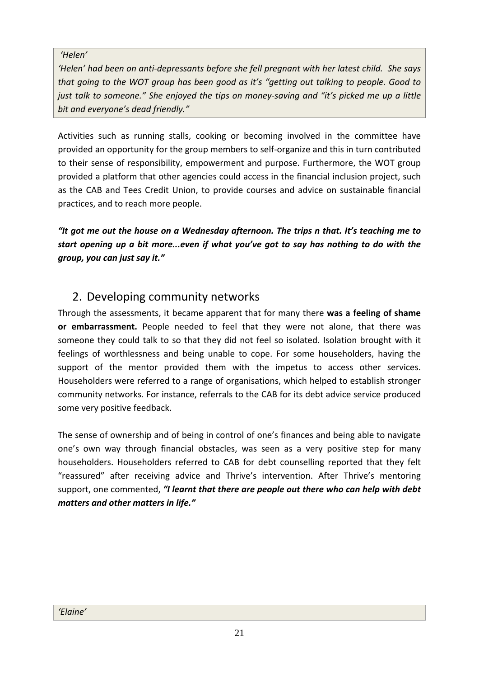#### *'Helen'*

*'Helen' had been on anti‐depressants before she fell pregnant with her latest child. She says that going to the WOT group has been good as it's "getting out talking to people. Good to just talk to someone." She enjoyed the tips on money‐saving and "it's picked me up a little bit and everyone's dead friendly."*

Activities such as running stalls, cooking or becoming involved in the committee have provided an opportunity for the group members to self‐organize and this in turn contributed to their sense of responsibility, empowerment and purpose. Furthermore, the WOT group provided a platform that other agencies could access in the financial inclusion project, such as the CAB and Tees Credit Union, to provide courses and advice on sustainable financial practices, and to reach more people.

*"It got me out the house on a Wednesday afternoon. The trips n that. It's teaching me to start opening up a bit more...even if what you've got to say has nothing to do with the group, you can just say it."* 

## 2. Developing community networks

Through the assessments, it became apparent that for many there **was a feeling of shame or embarrassment.** People needed to feel that they were not alone, that there was someone they could talk to so that they did not feel so isolated. Isolation brought with it feelings of worthlessness and being unable to cope. For some householders, having the support of the mentor provided them with the impetus to access other services. Householders were referred to a range of organisations, which helped to establish stronger community networks. For instance, referrals to the CAB for its debt advice service produced some very positive feedback.

The sense of ownership and of being in control of one's finances and being able to navigate one's own way through financial obstacles, was seen as a very positive step for many householders. Householders referred to CAB for debt counselling reported that they felt "reassured" after receiving advice and Thrive's intervention. After Thrive's mentoring support, one commented, *"I learnt that there are people out there who can help with debt matters and other matters in life."*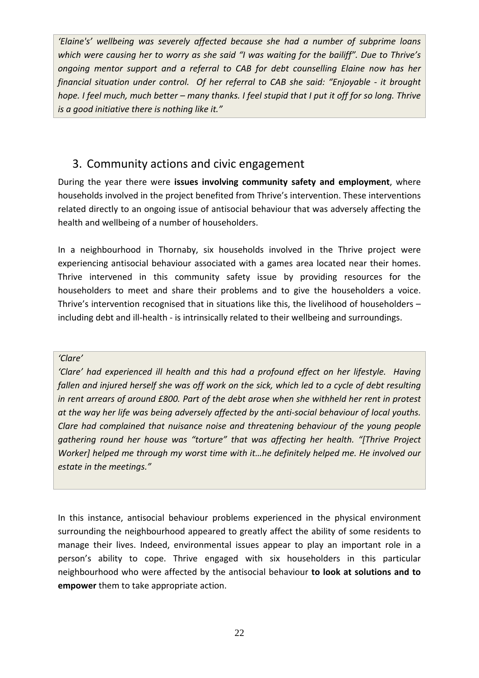*'Elaine's' wellbeing was severely affected because she had a number of subprime loans which were causing her to worry as she said "I was waiting for the bailiff". Due to Thrive's ongoing mentor support and a referral to CAB for debt counselling Elaine now has her financial situation under control. Of her referral to CAB she said: "Enjoyable ‐ it brought* hope. I feel much, much better - many thanks. I feel stupid that I put it off for so long. Thrive *is a good initiative there is nothing like it."*

## 3. Community actions and civic engagement

During the year there were **issues involving community safety and employment**, where households involved in the project benefited from Thrive's intervention. These interventions related directly to an ongoing issue of antisocial behaviour that was adversely affecting the health and wellbeing of a number of householders.

In a neighbourhood in Thornaby, six households involved in the Thrive project were experiencing antisocial behaviour associated with a games area located near their homes. Thrive intervened in this community safety issue by providing resources for the householders to meet and share their problems and to give the householders a voice. Thrive's intervention recognised that in situations like this, the livelihood of householders – including debt and ill-health - is intrinsically related to their wellbeing and surroundings.

#### *'Clare'*

*'Clare' had experienced ill health and this had a profound effect on her lifestyle. Having* fallen and injured herself she was off work on the sick, which led to a cycle of debt resulting *in rent arrears of around £800. Part of the debt arose when she withheld her rent in protest* at the way her life was being adversely affected by the anti-social behaviour of local youths. *Clare had complained that nuisance noise and threatening behaviour of the young people gathering round her house was "torture" that was affecting her health. "[Thrive Project Worker] helped me through my worst time with it…he definitely helped me. He involved our estate in the meetings."*

In this instance, antisocial behaviour problems experienced in the physical environment surrounding the neighbourhood appeared to greatly affect the ability of some residents to manage their lives. Indeed, environmental issues appear to play an important role in a person's ability to cope. Thrive engaged with six householders in this particular neighbourhood who were affected by the antisocial behaviour **to look at solutions and to empower** them to take appropriate action.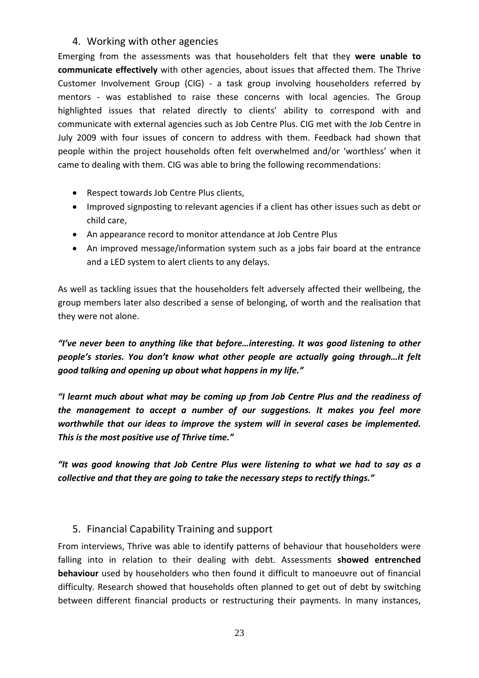### 4. Working with other agencies

Emerging from the assessments was that householders felt that they **were unable to communicate effectively** with other agencies, about issues that affected them. The Thrive Customer Involvement Group (CIG) - a task group involving householders referred by mentors - was established to raise these concerns with local agencies. The Group highlighted issues that related directly to clients' ability to correspond with and communicate with external agencies such as Job Centre Plus. CIG met with the Job Centre in July 2009 with four issues of concern to address with them. Feedback had shown that people within the project households often felt overwhelmed and/or 'worthless' when it came to dealing with them. CIG was able to bring the following recommendations:

- Respect towards Job Centre Plus clients,
- Improved signposting to relevant agencies if a client has other issues such as debt or child care,
- An appearance record to monitor attendance at Job Centre Plus
- An improved message/information system such as a jobs fair board at the entrance and a LED system to alert clients to any delays.

As well as tackling issues that the householders felt adversely affected their wellbeing, the group members later also described a sense of belonging, of worth and the realisation that they were not alone.

*"I've never been to anything like that before…interesting. It was good listening to other people's stories. You don't know what other people are actually going through…it felt good talking and opening up about what happens in my life."*

*"I learnt much about what may be coming up from Job Centre Plus and the readiness of the management to accept a number of our suggestions. It makes you feel more worthwhile that our ideas to improve the system will in several cases be implemented. This is the most positive use of Thrive time."*

*"It was good knowing that Job Centre Plus were listening to what we had to say as a collective and that they are going to take the necessary steps to rectify things."*

### 5. Financial Capability Training and support

From interviews, Thrive was able to identify patterns of behaviour that householders were falling into in relation to their dealing with debt. Assessments **showed entrenched behaviour** used by householders who then found it difficult to manoeuvre out of financial difficulty. Research showed that households often planned to get out of debt by switching between different financial products or restructuring their payments. In many instances,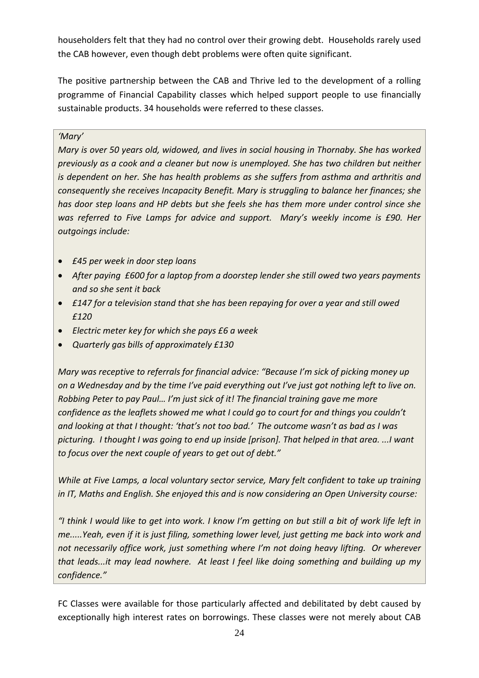householders felt that they had no control over their growing debt. Households rarely used the CAB however, even though debt problems were often quite significant.

The positive partnership between the CAB and Thrive led to the development of a rolling programme of Financial Capability classes which helped support people to use financially sustainable products. 34 households were referred to these classes.

#### *'Mary'*

*Mary is over 50 years old, widowed, and lives in social housing in Thornaby. She has worked previously as a cook and a cleaner but now is unemployed. She has two children but neither is dependent on her. She has health problems as she suffers from asthma and arthritis and consequently she receives Incapacity Benefit. Mary is struggling to balance her finances; she has door step loans and HP debts but she feels she has them more under control since she was referred to Five Lamps for advice and support. Mary's weekly income is £90. Her outgoings include:* 

- *£45 per week in door step loans*
- *After paying £600 for a laptop from a doorstep lender she still owed two years payments and so she sent it back*
- *£147 for a television stand that she has been repaying for over a year and still owed £120*
- *Electric meter key for which she pays £6 a week*
- *Quarterly gas bills of approximately £130*

*Mary was receptive to referrals for financial advice: "Because I'm sick of picking money up* on a Wednesday and by the time I've paid everything out I've just got nothing left to live on. *Robbing Peter to pay Paul… I'm just sick of it! The financial training gave me more confidence as the leaflets showed me what I could go to court for and things you couldn't and looking at that I thought: 'that's not too bad.' The outcome wasn't as bad as I was* picturing. I thought I was going to end up inside [prison]. That helped in that area....I want *to focus over the next couple of years to get out of debt."* 

*While at Five Lamps, a local voluntary sector service, Mary felt confident to take up training in IT, Maths and English. She enjoyed this and is now considering an Open University course:* 

"I think I would like to get into work. I know I'm getting on but still a bit of work life left in *me.....Yeah, even if it is just filing, something lower level, just getting me back into work and not necessarily office work, just something where I'm not doing heavy lifting. Or wherever that leads...it may lead nowhere. At least I feel like doing something and building up my confidence."* 

FC Classes were available for those particularly affected and debilitated by debt caused by exceptionally high interest rates on borrowings. These classes were not merely about CAB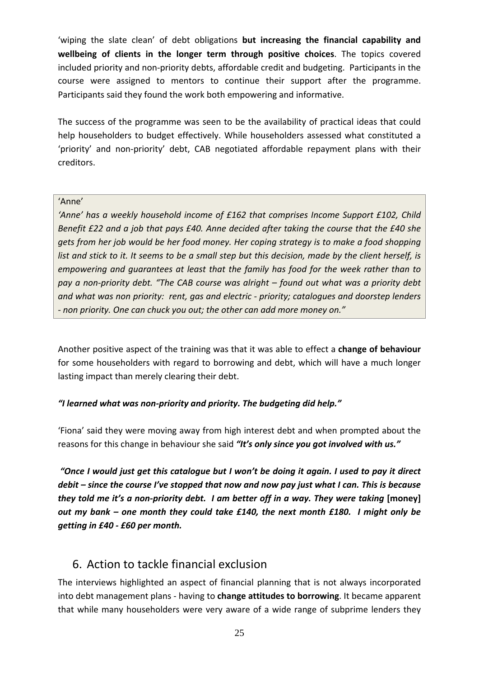'wiping the slate clean' of debt obligations **but increasing the financial capability and wellbeing of clients in the longer term through positive choices**. The topics covered included priority and non‐priority debts, affordable credit and budgeting. Participants in the course were assigned to mentors to continue their support after the programme. Participants said they found the work both empowering and informative.

The success of the programme was seen to be the availability of practical ideas that could help householders to budget effectively. While householders assessed what constituted a 'priority' and non‐priority' debt, CAB negotiated affordable repayment plans with their creditors.

#### 'Anne'

*'Anne' has a weekly household income of £162 that comprises Income Support £102, Child Benefit £22 and a job that pays £40. Anne decided after taking the course that the £40 she gets from her job would be her food money. Her coping strategy is to make a food shopping* list and stick to it. It seems to be a small step but this decision, made by the client herself, is *empowering and guarantees at least that the family has food for the week rather than to pay a non‐priority debt. "The CAB course was alright – found out what was a priority debt and what was non priority: rent, gas and electric ‐ priority; catalogues and doorstep lenders ‐ non priority. One can chuck you out; the other can add more money on."*

Another positive aspect of the training was that it was able to effect a **change of behaviour** for some householders with regard to borrowing and debt, which will have a much longer lasting impact than merely clearing their debt.

### *"I learned what was non‐priority and priority. The budgeting did help."*

'Fiona' said they were moving away from high interest debt and when prompted about the reasons for this change in behaviour she said *"It's only since you got involved with us."* 

"Once I would just get this catalogue but I won't be doing it again. I used to pay it direct *debit – since the course I've stopped that now and now pay just what I can. This is because* they told me it's a non-priority debt. I am better off in a way. They were taking [money] *out my bank – one month they could take £140, the next month £180. I might only be getting in £40 ‐ £60 per month.* 

## 6. Action to tackle financial exclusion

The interviews highlighted an aspect of financial planning that is not always incorporated into debt management plans ‐ having to **change attitudes to borrowing**. It became apparent that while many householders were very aware of a wide range of subprime lenders they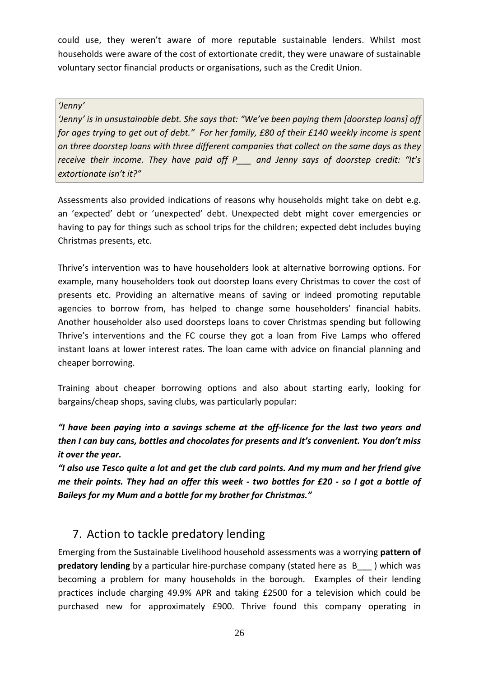could use, they weren't aware of more reputable sustainable lenders. Whilst most households were aware of the cost of extortionate credit, they were unaware of sustainable voluntary sector financial products or organisations, such as the Credit Union.

#### *'Jenny'*

*'Jenny' is in unsustainable debt. She says that: "We've been paying them [doorstep loans] off* for ages trying to get out of debt." For her family, £80 of their £140 weekly income is spent *on three doorstep loans with three different companies that collect on the same days as they receive their income. They have paid off P\_\_\_ and Jenny says of doorstep credit: "It's extortionate isn't it?"* 

Assessments also provided indications of reasons why households might take on debt e.g. an 'expected' debt or 'unexpected' debt. Unexpected debt might cover emergencies or having to pay for things such as school trips for the children; expected debt includes buying Christmas presents, etc.

Thrive's intervention was to have householders look at alternative borrowing options. For example, many householders took out doorstep loans every Christmas to cover the cost of presents etc. Providing an alternative means of saving or indeed promoting reputable agencies to borrow from, has helped to change some householders' financial habits. Another householder also used doorsteps loans to cover Christmas spending but following Thrive's interventions and the FC course they got a loan from Five Lamps who offered instant loans at lower interest rates. The loan came with advice on financial planning and cheaper borrowing.

Training about cheaper borrowing options and also about starting early, looking for bargains/cheap shops, saving clubs, was particularly popular:

*"I have been paying into a savings scheme at the off‐licence for the last two years and then I can buy cans, bottles and chocolates for presents and it's convenient. You don't miss it over the year.*

"I also use Tesco quite a lot and get the club card points. And my mum and her friend give me their points. They had an offer this week - two bottles for £20 - so I got a bottle of *Baileys for my Mum and a bottle for my brother for Christmas."*

## 7. Action to tackle predatory lending

Emerging from the Sustainable Livelihood household assessments was a worrying **pattern of predatory lending** by a particular hire-purchase company (stated here as B\_\_\_ ) which was becoming a problem for many households in the borough. Examples of their lending practices include charging 49.9% APR and taking £2500 for a television which could be purchased new for approximately £900. Thrive found this company operating in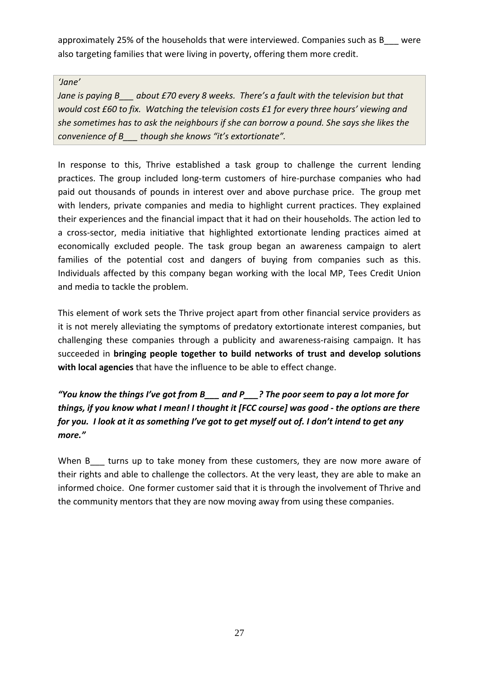approximately 25% of the households that were interviewed. Companies such as B\_\_\_ were also targeting families that were living in poverty, offering them more credit.

#### *'Jane'*

*Jane is paying B\_\_\_ about £70 every 8 weeks. There's a fault with the television but that would cost £60 to fix. Watching the television costs £1 for every three hours' viewing and she sometimes has to ask the neighbours if she can borrow a pound. She says she likes the convenience of B\_\_\_ though she knows "it's extortionate".* 

In response to this, Thrive established a task group to challenge the current lending practices. The group included long‐term customers of hire‐purchase companies who had paid out thousands of pounds in interest over and above purchase price. The group met with lenders, private companies and media to highlight current practices. They explained their experiences and the financial impact that it had on their households. The action led to a cross‐sector, media initiative that highlighted extortionate lending practices aimed at economically excluded people. The task group began an awareness campaign to alert families of the potential cost and dangers of buying from companies such as this. Individuals affected by this company began working with the local MP, Tees Credit Union and media to tackle the problem.

This element of work sets the Thrive project apart from other financial service providers as it is not merely alleviating the symptoms of predatory extortionate interest companies, but challenging these companies through a publicity and awareness-raising campaign. It has succeeded in **bringing people together to build networks of trust and develop solutions with local agencies** that have the influence to be able to effect change.

*"You know the things I've got from B\_\_\_ and P\_\_\_? The poor seem to pay a lot more for things, if you know what I mean! I thought it [FCC course] was good ‐ the options are there* for you. I look at it as something I've got to get myself out of. I don't intend to get any *more."*

When B\_\_\_ turns up to take money from these customers, they are now more aware of their rights and able to challenge the collectors. At the very least, they are able to make an informed choice. One former customer said that it is through the involvement of Thrive and the community mentors that they are now moving away from using these companies.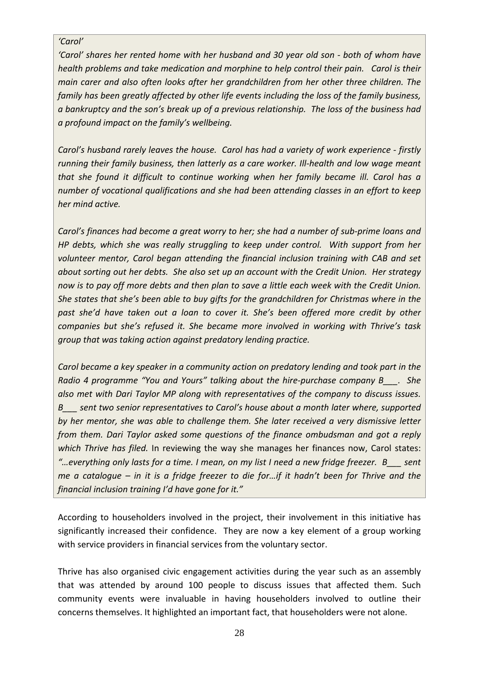#### *'Carol'*

*'Carol' shares her rented home with her husband and 30 year old son ‐ both of whom have health problems and take medication and morphine to help control their pain. Carol is their main carer and also often looks after her grandchildren from her other three children. The family has been greatly affected by other life events including the loss of the family business, a bankruptcy and the son's break up of a previous relationship. The loss of the business had a profound impact on the family's wellbeing.*

*Carol's husband rarely leaves the house. Carol has had a variety of work experience ‐ firstly running their family business, then latterly as a care worker. Ill‐health and low wage meant that she found it difficult to continue working when her family became ill. Carol has a number of vocational qualifications and she had been attending classes in an effort to keep her mind active.*

*Carol's finances had become a great worry to her; she had a number of sub‐prime loans and HP debts, which she was really struggling to keep under control. With support from her volunteer mentor, Carol began attending the financial inclusion training with CAB and set* about sorting out her debts. She also set up an account with the Credit Union. Her strategy now is to pay off more debts and then plan to save a little each week with the Credit Union. *She states that she's been able to buy gifts for the grandchildren for Christmas where in the past she'd have taken out a loan to cover it. She's been offered more credit by other companies but she's refused it. She became more involved in working with Thrive's task group that was taking action against predatory lending practice.*

*Carol became a key speaker in a community action on predatory lending and took part in the Radio 4 programme "You and Yours" talking about the hire‐purchase company B\_\_\_. She also met with Dari Taylor MP along with representatives of the company to discuss issues. B\_\_\_ sent two senior representatives to Carol's house about a month later where, supported by her mentor, she was able to challenge them. She later received a very dismissive letter from them. Dari Taylor asked some questions of the finance ombudsman and got a reply which Thrive has filed.* In reviewing the way she manages her finances now, Carol states: "...everything only lasts for a time. I mean, on my list I need a new fridge freezer. B sent me a cataloque  $-$  in it is a fridge freezer to die for...if it hadn't been for Thrive and the *financial inclusion training I'd have gone for it."*

According to householders involved in the project, their involvement in this initiative has significantly increased their confidence. They are now a key element of a group working with service providers in financial services from the voluntary sector.

Thrive has also organised civic engagement activities during the year such as an assembly that was attended by around 100 people to discuss issues that affected them. Such community events were invaluable in having householders involved to outline their concerns themselves. It highlighted an important fact, that householders were not alone.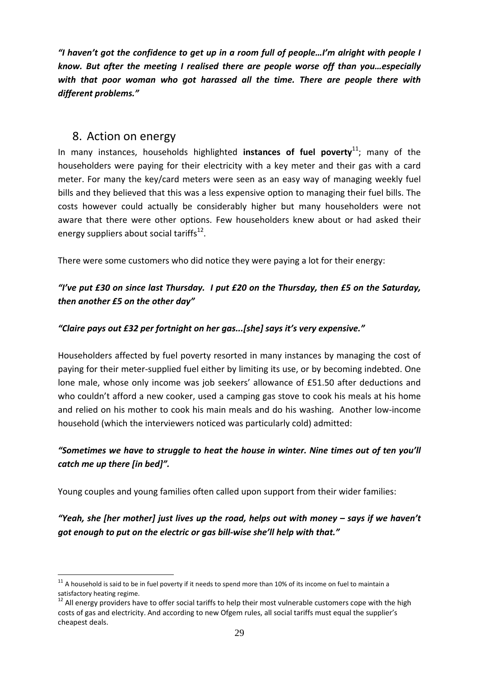*"I haven't got the confidence to get up in a room full of people…I'm alright with people I know. But after the meeting I realised there are people worse off than you…especially with that poor woman who got harassed all the time. There are people there with different problems."* 

### 8. Action on energy

<u>.</u>

In many instances, households highlighted instances of fuel poverty<sup>11</sup>; many of the householders were paying for their electricity with a key meter and their gas with a card meter. For many the key/card meters were seen as an easy way of managing weekly fuel bills and they believed that this was a less expensive option to managing their fuel bills. The costs however could actually be considerably higher but many householders were not aware that there were other options. Few householders knew about or had asked their energy suppliers about social tariffs $^{12}$ .

There were some customers who did notice they were paying a lot for their energy:

### *"I've put £30 on since last Thursday. I put £20 on the Thursday, then £5 on the Saturday, then another £5 on the other day"*

### *"Claire pays out £32 per fortnight on her gas...[she] says it's very expensive."*

Householders affected by fuel poverty resorted in many instances by managing the cost of paying for their meter-supplied fuel either by limiting its use, or by becoming indebted. One lone male, whose only income was job seekers' allowance of £51.50 after deductions and who couldn't afford a new cooker, used a camping gas stove to cook his meals at his home and relied on his mother to cook his main meals and do his washing. Another low‐income household (which the interviewers noticed was particularly cold) admitted:

### *"Sometimes we have to struggle to heat the house in winter. Nine times out of ten you'll catch me up there [in bed]".*

Young couples and young families often called upon support from their wider families:

*"Yeah, she [her mother] just lives up the road, helps out with money – says if we haven't got enough to put on the electric or gas bill‐wise she'll help with that."* 

 $11$  A household is said to be in fuel poverty if it needs to spend more than 10% of its income on fuel to maintain a satisfactory heating regime.<br><sup>12</sup> All energy providers have to offer social tariffs to help their most vulnerable customers cope with the high

costs of gas and electricity. And according to new Ofgem rules, all social tariffs must equal the supplier's cheapest deals.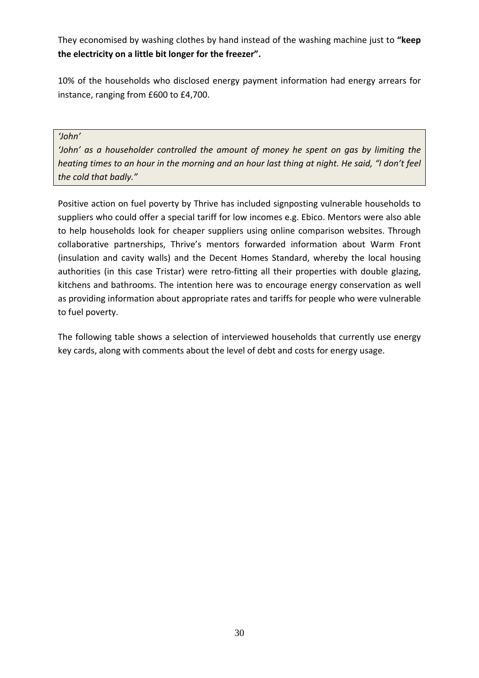They economised by washing clothes by hand instead of the washing machine just to **"keep the electricity on a little bit longer for the freezer".**

10% of the households who disclosed energy payment information had energy arrears for instance, ranging from £600 to £4,700.

#### *'John'*

*'John' as a householder controlled the amount of money he spent on gas by limiting the* heating times to an hour in the morning and an hour last thing at night. He said, "I don't feel *the cold that badly."* 

Positive action on fuel poverty by Thrive has included signposting vulnerable households to suppliers who could offer a special tariff for low incomes e.g. Ebico. Mentors were also able to help households look for cheaper suppliers using online comparison websites. Through collaborative partnerships, Thrive's mentors forwarded information about Warm Front (insulation and cavity walls) and the Decent Homes Standard, whereby the local housing authorities (in this case Tristar) were retro-fitting all their properties with double glazing, kitchens and bathrooms. The intention here was to encourage energy conservation as well as providing information about appropriate rates and tariffs for people who were vulnerable to fuel poverty.

The following table shows a selection of interviewed households that currently use energy key cards, along with comments about the level of debt and costs for energy usage.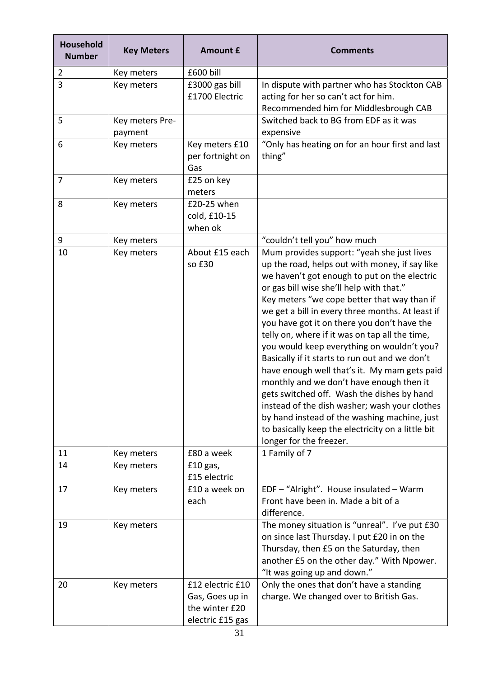| Household<br><b>Number</b> | <b>Key Meters</b>          | <b>Amount £</b>                                                           | <b>Comments</b>                                                                                                                                                                                                                                                                                                                                                                                                                                                                                                                                                                                                                                                                                                                                                                                                         |
|----------------------------|----------------------------|---------------------------------------------------------------------------|-------------------------------------------------------------------------------------------------------------------------------------------------------------------------------------------------------------------------------------------------------------------------------------------------------------------------------------------------------------------------------------------------------------------------------------------------------------------------------------------------------------------------------------------------------------------------------------------------------------------------------------------------------------------------------------------------------------------------------------------------------------------------------------------------------------------------|
| $\overline{2}$             | Key meters                 | £600 bill                                                                 |                                                                                                                                                                                                                                                                                                                                                                                                                                                                                                                                                                                                                                                                                                                                                                                                                         |
| $\overline{3}$             | Key meters                 | £3000 gas bill<br>£1700 Electric                                          | In dispute with partner who has Stockton CAB<br>acting for her so can't act for him.<br>Recommended him for Middlesbrough CAB                                                                                                                                                                                                                                                                                                                                                                                                                                                                                                                                                                                                                                                                                           |
| 5                          | Key meters Pre-<br>payment |                                                                           | Switched back to BG from EDF as it was<br>expensive                                                                                                                                                                                                                                                                                                                                                                                                                                                                                                                                                                                                                                                                                                                                                                     |
| 6                          | Key meters                 | Key meters £10<br>per fortnight on<br>Gas                                 | "Only has heating on for an hour first and last<br>thing"                                                                                                                                                                                                                                                                                                                                                                                                                                                                                                                                                                                                                                                                                                                                                               |
| $\overline{7}$             | Key meters                 | £25 on key<br>meters                                                      |                                                                                                                                                                                                                                                                                                                                                                                                                                                                                                                                                                                                                                                                                                                                                                                                                         |
| 8                          | Key meters                 | £20-25 when<br>cold, £10-15<br>when ok                                    |                                                                                                                                                                                                                                                                                                                                                                                                                                                                                                                                                                                                                                                                                                                                                                                                                         |
| 9                          | Key meters                 |                                                                           | "couldn't tell you" how much                                                                                                                                                                                                                                                                                                                                                                                                                                                                                                                                                                                                                                                                                                                                                                                            |
| 10                         | Key meters                 | About £15 each<br>so £30                                                  | Mum provides support: "yeah she just lives<br>up the road, helps out with money, if say like<br>we haven't got enough to put on the electric<br>or gas bill wise she'll help with that."<br>Key meters "we cope better that way than if<br>we get a bill in every three months. At least if<br>you have got it on there you don't have the<br>telly on, where if it was on tap all the time,<br>you would keep everything on wouldn't you?<br>Basically if it starts to run out and we don't<br>have enough well that's it. My mam gets paid<br>monthly and we don't have enough then it<br>gets switched off. Wash the dishes by hand<br>instead of the dish washer; wash your clothes<br>by hand instead of the washing machine, just<br>to basically keep the electricity on a little bit<br>longer for the freezer. |
| 11                         | Key meters                 | £80 a week                                                                | 1 Family of 7                                                                                                                                                                                                                                                                                                                                                                                                                                                                                                                                                                                                                                                                                                                                                                                                           |
| 14                         | Key meters                 | $£10$ gas,<br>£15 electric                                                |                                                                                                                                                                                                                                                                                                                                                                                                                                                                                                                                                                                                                                                                                                                                                                                                                         |
| 17                         | Key meters                 | £10 a week on<br>each                                                     | EDF - "Alright". House insulated - Warm<br>Front have been in. Made a bit of a<br>difference.                                                                                                                                                                                                                                                                                                                                                                                                                                                                                                                                                                                                                                                                                                                           |
| 19                         | Key meters                 |                                                                           | The money situation is "unreal". I've put £30<br>on since last Thursday. I put £20 in on the<br>Thursday, then £5 on the Saturday, then<br>another £5 on the other day." With Npower.<br>"It was going up and down."                                                                                                                                                                                                                                                                                                                                                                                                                                                                                                                                                                                                    |
| 20                         | Key meters                 | £12 electric £10<br>Gas, Goes up in<br>the winter £20<br>electric £15 gas | Only the ones that don't have a standing<br>charge. We changed over to British Gas.                                                                                                                                                                                                                                                                                                                                                                                                                                                                                                                                                                                                                                                                                                                                     |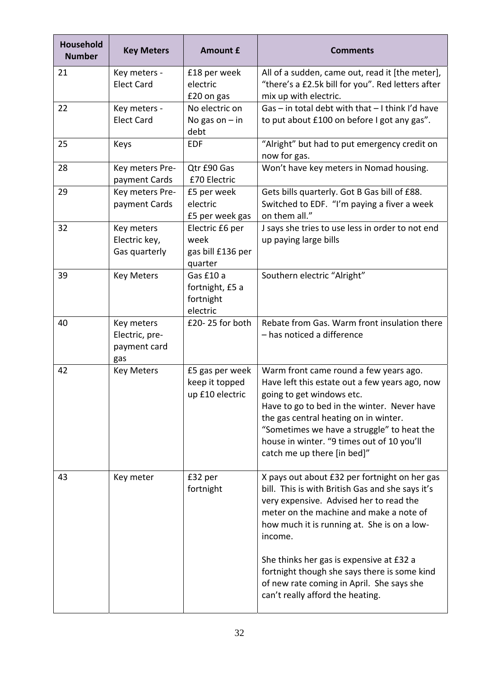| <b>Household</b><br><b>Number</b> | <b>Key Meters</b>                                   | <b>Amount £</b>                                         | <b>Comments</b>                                                                                                                                                                                                                                                                                                                                                                                                                |
|-----------------------------------|-----------------------------------------------------|---------------------------------------------------------|--------------------------------------------------------------------------------------------------------------------------------------------------------------------------------------------------------------------------------------------------------------------------------------------------------------------------------------------------------------------------------------------------------------------------------|
| 21                                | Key meters -<br><b>Elect Card</b>                   | £18 per week<br>electric<br>£20 on gas                  | All of a sudden, came out, read it [the meter],<br>"there's a £2.5k bill for you". Red letters after<br>mix up with electric.                                                                                                                                                                                                                                                                                                  |
| 22                                | Key meters -<br><b>Elect Card</b>                   | No electric on<br>No gas on $-$ in<br>debt              | Gas - in total debt with that - I think I'd have<br>to put about £100 on before I got any gas".                                                                                                                                                                                                                                                                                                                                |
| 25                                | Keys                                                | <b>EDF</b>                                              | "Alright" but had to put emergency credit on<br>now for gas.                                                                                                                                                                                                                                                                                                                                                                   |
| 28                                | Key meters Pre-<br>payment Cards                    | Qtr £90 Gas<br>£70 Electric                             | Won't have key meters in Nomad housing.                                                                                                                                                                                                                                                                                                                                                                                        |
| 29                                | Key meters Pre-<br>payment Cards                    | £5 per week<br>electric<br>£5 per week gas              | Gets bills quarterly. Got B Gas bill of £88.<br>Switched to EDF. "I'm paying a fiver a week<br>on them all."                                                                                                                                                                                                                                                                                                                   |
| 32                                | Key meters<br>Electric key,<br>Gas quarterly        | Electric £6 per<br>week<br>gas bill £136 per<br>quarter | J says she tries to use less in order to not end<br>up paying large bills                                                                                                                                                                                                                                                                                                                                                      |
| 39                                | <b>Key Meters</b>                                   | Gas £10 a<br>fortnight, £5 a<br>fortnight<br>electric   | Southern electric "Alright"                                                                                                                                                                                                                                                                                                                                                                                                    |
| 40                                | Key meters<br>Electric, pre-<br>payment card<br>gas | £20-25 for both                                         | Rebate from Gas. Warm front insulation there<br>- has noticed a difference                                                                                                                                                                                                                                                                                                                                                     |
| 42                                | <b>Key Meters</b>                                   | £5 gas per week<br>keep it topped<br>up £10 electric    | Warm front came round a few years ago.<br>Have left this estate out a few years ago, now<br>going to get windows etc.<br>Have to go to bed in the winter. Never have<br>the gas central heating on in winter.<br>"Sometimes we have a struggle" to heat the<br>house in winter. "9 times out of 10 you'll<br>catch me up there [in bed]"                                                                                       |
| 43                                | Key meter                                           | £32 per<br>fortnight                                    | X pays out about £32 per fortnight on her gas<br>bill. This is with British Gas and she says it's<br>very expensive. Advised her to read the<br>meter on the machine and make a note of<br>how much it is running at. She is on a low-<br>income.<br>She thinks her gas is expensive at £32 a<br>fortnight though she says there is some kind<br>of new rate coming in April. She says she<br>can't really afford the heating. |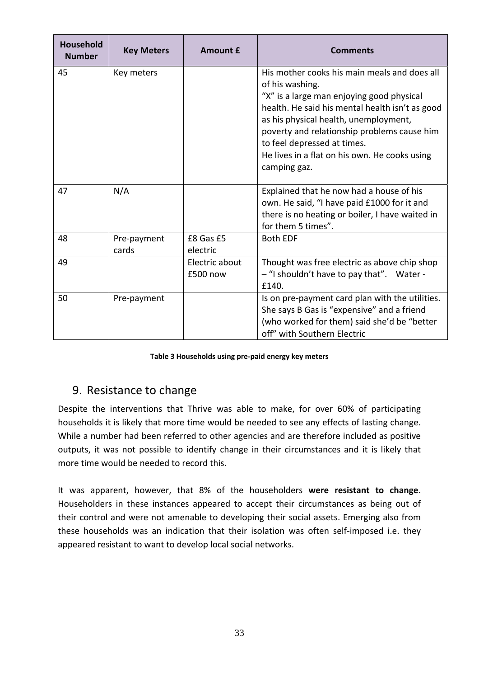| Household<br><b>Number</b> | <b>Key Meters</b>    | <b>Amount £</b>            | <b>Comments</b>                                                                                                                                                                                                                                                                                                                                         |
|----------------------------|----------------------|----------------------------|---------------------------------------------------------------------------------------------------------------------------------------------------------------------------------------------------------------------------------------------------------------------------------------------------------------------------------------------------------|
| 45                         | Key meters           |                            | His mother cooks his main meals and does all<br>of his washing.<br>"X" is a large man enjoying good physical<br>health. He said his mental health isn't as good<br>as his physical health, unemployment,<br>poverty and relationship problems cause him<br>to feel depressed at times.<br>He lives in a flat on his own. He cooks using<br>camping gaz. |
| 47                         | N/A                  |                            | Explained that he now had a house of his<br>own. He said, "I have paid £1000 for it and<br>there is no heating or boiler, I have waited in<br>for them 5 times".                                                                                                                                                                                        |
| 48                         | Pre-payment<br>cards | £8 Gas £5<br>electric      | <b>Both EDF</b>                                                                                                                                                                                                                                                                                                                                         |
| 49                         |                      | Electric about<br>£500 now | Thought was free electric as above chip shop<br>- "I shouldn't have to pay that". Water -<br>£140.                                                                                                                                                                                                                                                      |
| 50                         | Pre-payment          |                            | Is on pre-payment card plan with the utilities.<br>She says B Gas is "expensive" and a friend<br>(who worked for them) said she'd be "better<br>off" with Southern Electric                                                                                                                                                                             |

**Table 3 Households using pre‐paid energy key meters**

## 9. Resistance to change

Despite the interventions that Thrive was able to make, for over 60% of participating households it is likely that more time would be needed to see any effects of lasting change. While a number had been referred to other agencies and are therefore included as positive outputs, it was not possible to identify change in their circumstances and it is likely that more time would be needed to record this.

It was apparent, however, that 8% of the householders **were resistant to change**. Householders in these instances appeared to accept their circumstances as being out of their control and were not amenable to developing their social assets. Emerging also from these households was an indication that their isolation was often self‐imposed i.e. they appeared resistant to want to develop local social networks.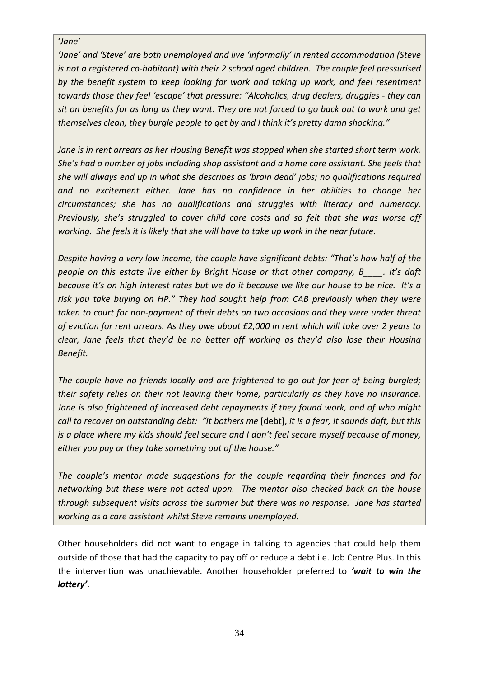#### '*Jane'*

*'Jane' and 'Steve' are both unemployed and live 'informally' in rented accommodation (Steve is not a registered co‐habitant) with their 2 school aged children. The couple feel pressurised by the benefit system to keep looking for work and taking up work, and feel resentment towards those they feel 'escape' that pressure: "Alcoholics, drug dealers, druggies ‐ they can* sit on benefits for as long as they want. They are not forced to go back out to work and get *themselves clean, they burgle people to get by and I think it's pretty damn shocking."* 

*Jane is in rent arrears as her Housing Benefit was stopped when she started short term work. She's had a number of jobs including shop assistant and a home care assistant. She feels that she will always end up in what she describes as 'brain dead' jobs; no qualifications required and no excitement either. Jane has no confidence in her abilities to change her circumstances; she has no qualifications and struggles with literacy and numeracy. Previously, she's struggled to cover child care costs and so felt that she was worse off* working. She feels it is likely that she will have to take up work in the near future.

*Despite having a very low income, the couple have significant debts: "That's how half of the people on this estate live either by Bright House or that other company, B\_\_\_\_. It's daft* because it's on high interest rates but we do it because we like our house to be nice. It's a *risk you take buying on HP." They had sought help from CAB previously when they were taken to court for non‐payment of their debts on two occasions and they were under threat* of eviction for rent arrears. As they owe about £2,000 in rent which will take over 2 years to *clear, Jane feels that they'd be no better off working as they'd also lose their Housing Benefit.*

*The couple have no friends locally and are frightened to go out for fear of being burgled; their safety relies on their not leaving their home, particularly as they have no insurance. Jane is also frightened of increased debt repayments if they found work, and of who might* call to recover an outstanding debt: "It bothers me [debt], it is a fear, it sounds daft, but this *is a place where my kids should feel secure and I don't feel secure myself because of money, either you pay or they take something out of the house."*

*The couple's mentor made suggestions for the couple regarding their finances and for networking but these were not acted upon. The mentor also checked back on the house through subsequent visits across the summer but there was no response. Jane has started working as a care assistant whilst Steve remains unemployed.*

Other householders did not want to engage in talking to agencies that could help them outside of those that had the capacity to pay off or reduce a debt i.e. Job Centre Plus. In this the intervention was unachievable. Another householder preferred to *'wait to win the lottery'*.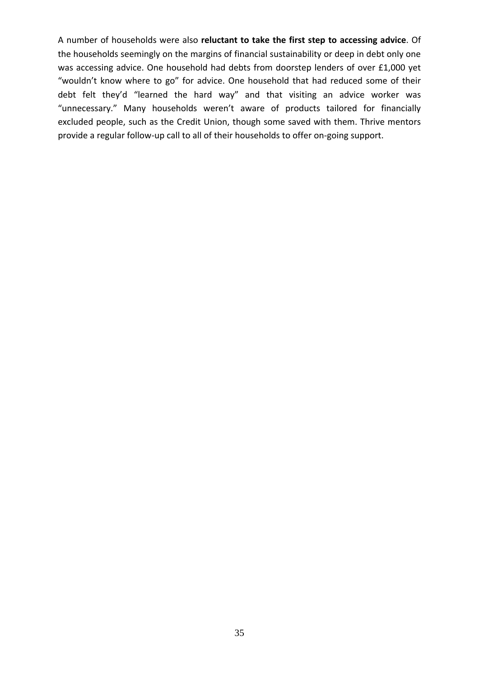A number of households were also **reluctant to take the first step to accessing advice**. Of the households seemingly on the margins of financial sustainability or deep in debt only one was accessing advice. One household had debts from doorstep lenders of over £1,000 yet "wouldn't know where to go" for advice. One household that had reduced some of their debt felt they'd "learned the hard way" and that visiting an advice worker was "unnecessary." Many households weren't aware of products tailored for financially excluded people, such as the Credit Union, though some saved with them. Thrive mentors provide a regular follow‐up call to all of their households to offer on‐going support.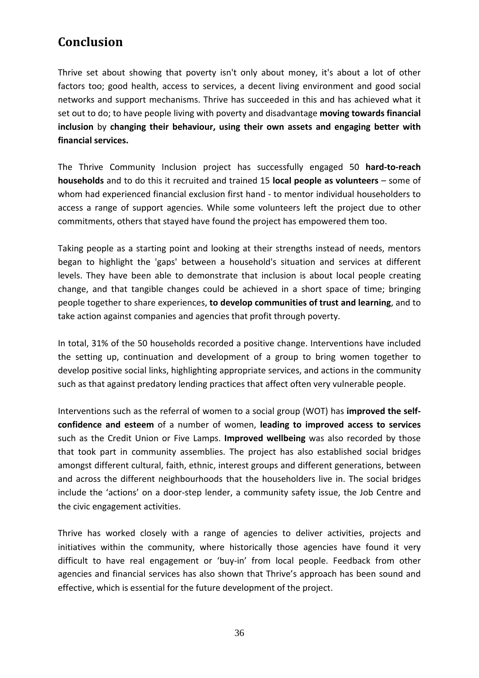# **Conclusion**

Thrive set about showing that poverty isn't only about money, it's about a lot of other factors too; good health, access to services, a decent living environment and good social networks and support mechanisms. Thrive has succeeded in this and has achieved what it set out to do; to have people living with poverty and disadvantage **moving towards financial inclusion** by **changing their behaviour, using their own assets and engaging better with financial services.**

The Thrive Community Inclusion project has successfully engaged 50 **hard‐to‐reach households** and to do this it recruited and trained 15 **local people as volunteers** – some of whom had experienced financial exclusion first hand ‐ to mentor individual householders to access a range of support agencies. While some volunteers left the project due to other commitments, others that stayed have found the project has empowered them too.

Taking people as a starting point and looking at their strengths instead of needs, mentors began to highlight the 'gaps' between a household's situation and services at different levels. They have been able to demonstrate that inclusion is about local people creating change, and that tangible changes could be achieved in a short space of time; bringing people together to share experiences, **to develop communities of trust and learning**, and to take action against companies and agencies that profit through poverty.

In total, 31% of the 50 households recorded a positive change. Interventions have included the setting up, continuation and development of a group to bring women together to develop positive social links, highlighting appropriate services, and actions in the community such as that against predatory lending practices that affect often very vulnerable people.

Interventions such as the referral of women to a social group (WOT) has **improved the self‐ confidence and esteem** of a number of women, **leading to improved access to services** such as the Credit Union or Five Lamps. **Improved wellbeing** was also recorded by those that took part in community assemblies. The project has also established social bridges amongst different cultural, faith, ethnic, interest groups and different generations, between and across the different neighbourhoods that the householders live in. The social bridges include the 'actions' on a door‐step lender, a community safety issue, the Job Centre and the civic engagement activities.

Thrive has worked closely with a range of agencies to deliver activities, projects and initiatives within the community, where historically those agencies have found it very difficult to have real engagement or 'buy‐in' from local people. Feedback from other agencies and financial services has also shown that Thrive's approach has been sound and effective, which is essential for the future development of the project.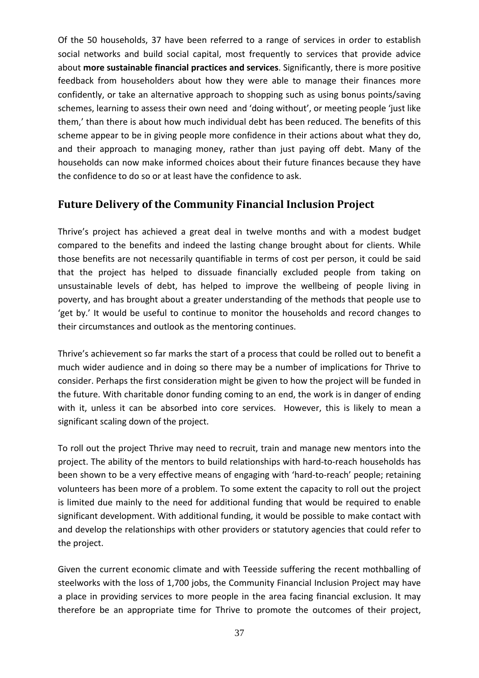Of the 50 households, 37 have been referred to a range of services in order to establish social networks and build social capital, most frequently to services that provide advice about **more sustainable financial practices and services**. Significantly, there is more positive feedback from householders about how they were able to manage their finances more confidently, or take an alternative approach to shopping such as using bonus points/saving schemes, learning to assess their own need and 'doing without', or meeting people 'just like them,' than there is about how much individual debt has been reduced. The benefits of this scheme appear to be in giving people more confidence in their actions about what they do, and their approach to managing money, rather than just paying off debt. Many of the households can now make informed choices about their future finances because they have the confidence to do so or at least have the confidence to ask.

### **Future Delivery of the Community Financial Inclusion Project**

Thrive's project has achieved a great deal in twelve months and with a modest budget compared to the benefits and indeed the lasting change brought about for clients. While those benefits are not necessarily quantifiable in terms of cost per person, it could be said that the project has helped to dissuade financially excluded people from taking on unsustainable levels of debt, has helped to improve the wellbeing of people living in poverty, and has brought about a greater understanding of the methods that people use to 'get by.' It would be useful to continue to monitor the households and record changes to their circumstances and outlook as the mentoring continues.

Thrive's achievement so far marks the start of a process that could be rolled out to benefit a much wider audience and in doing so there may be a number of implications for Thrive to consider. Perhaps the first consideration might be given to how the project will be funded in the future. With charitable donor funding coming to an end, the work is in danger of ending with it, unless it can be absorbed into core services. However, this is likely to mean a significant scaling down of the project.

To roll out the project Thrive may need to recruit, train and manage new mentors into the project. The ability of the mentors to build relationships with hard-to-reach households has been shown to be a very effective means of engaging with 'hard-to-reach' people; retaining volunteers has been more of a problem. To some extent the capacity to roll out the project is limited due mainly to the need for additional funding that would be required to enable significant development. With additional funding, it would be possible to make contact with and develop the relationships with other providers or statutory agencies that could refer to the project.

Given the current economic climate and with Teesside suffering the recent mothballing of steelworks with the loss of 1,700 jobs, the Community Financial Inclusion Project may have a place in providing services to more people in the area facing financial exclusion. It may therefore be an appropriate time for Thrive to promote the outcomes of their project,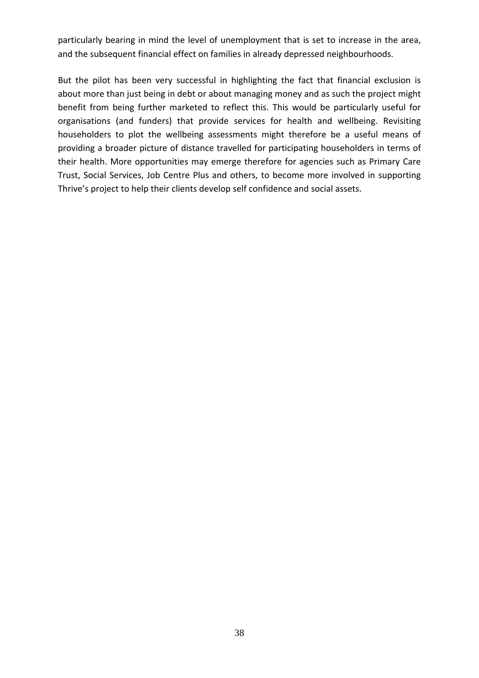particularly bearing in mind the level of unemployment that is set to increase in the area, and the subsequent financial effect on families in already depressed neighbourhoods.

But the pilot has been very successful in highlighting the fact that financial exclusion is about more than just being in debt or about managing money and as such the project might benefit from being further marketed to reflect this. This would be particularly useful for organisations (and funders) that provide services for health and wellbeing. Revisiting householders to plot the wellbeing assessments might therefore be a useful means of providing a broader picture of distance travelled for participating householders in terms of their health. More opportunities may emerge therefore for agencies such as Primary Care Trust, Social Services, Job Centre Plus and others, to become more involved in supporting Thrive's project to help their clients develop self confidence and social assets.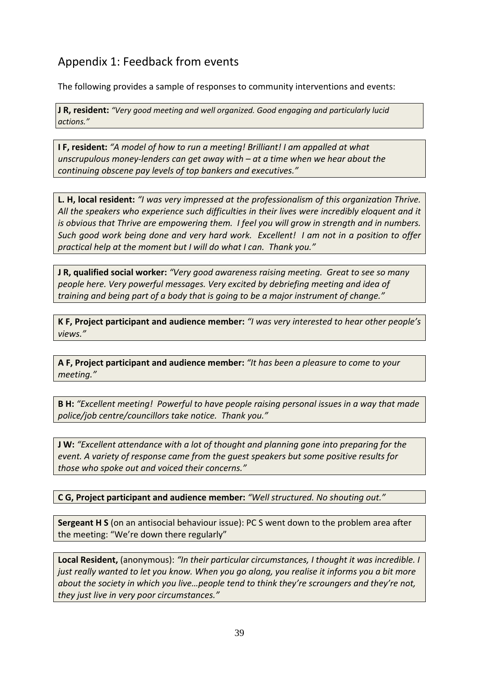# Appendix 1: Feedback from events

The following provides a sample of responses to community interventions and events:

**J R, resident:** *"Very good meeting and well organized. Good engaging and particularly lucid actions."*

**I F, resident:** *"A model of how to run a meeting! Brilliant! I am appalled at what unscrupulous money‐lenders can get away with – at a time when we hear about the continuing obscene pay levels of top bankers and executives."*

**L. H, local resident:** *"I was very impressed at the professionalism of this organization Thrive. All the speakers who experience such difficulties in their lives were incredibly eloquent and it* is obvious that Thrive are empowering them. I feel you will grow in strength and in numbers. Such good work being done and very hard work. Excellent! I am not in a position to offer *practical help at the moment but I will do what I can. Thank you."*

**J R, qualified social worker:** *"Very good awareness raising meeting. Great to see so many people here. Very powerful messages. Very excited by debriefing meeting and idea of training and being part of a body that is going to be a major instrument of change."*

**K F, Project participant and audience member:** *"I was very interested to hear other people's views."*

**A F, Project participant and audience member:** *"It has been a pleasure to come to your meeting."*

**B H:** *"Excellent meeting! Powerful to have people raising personal issues in a way that made police/job centre/councillors take notice. Thank you."*

**J W:** *"Excellent attendance with a lot of thought and planning gone into preparing for the event. A variety of response came from the guest speakers but some positive results for those who spoke out and voiced their concerns."*

**C G, Project participant and audience member:** *"Well structured. No shouting out."*

**Sergeant H S** (on an antisocial behaviour issue): PC S went down to the problem area after the meeting: "We're down there regularly"

**Local Resident,** (anonymous): *"In their particular circumstances, I thought it was incredible. I* just really wanted to let you know. When you go along, you realise it informs you a bit more *about the society in which you live…people tend to think they're scroungers and they're not, they just live in very poor circumstances."*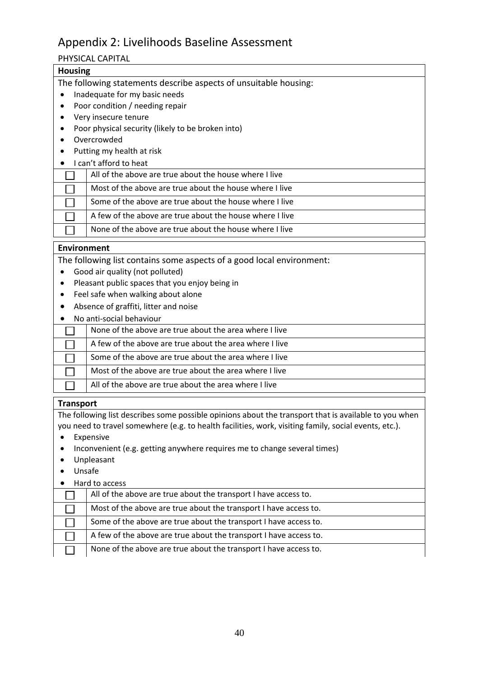# Appendix 2: Livelihoods Baseline Assessment

### PHYSICAL CAPITAL

| <b>Housing</b>                                                   |  |  |
|------------------------------------------------------------------|--|--|
| The following statements describe aspects of unsuitable housing: |  |  |
| Inadequate for my basic needs                                    |  |  |
| Poor condition / needing repair                                  |  |  |
| Very insecure tenure                                             |  |  |
| Poor physical security (likely to be broken into)                |  |  |
| Overcrowded                                                      |  |  |
| Putting my health at risk                                        |  |  |
| I can't afford to heat                                           |  |  |
| All of the above are true about the house where I live           |  |  |
| Most of the above are true about the house where I live          |  |  |
| Some of the above are true about the house where I live          |  |  |
| A few of the above are true about the house where I live         |  |  |
| None of the above are true about the house where I live          |  |  |
| Environment                                                      |  |  |

The following list contains some aspects of a good local environment:

- Good air quality (not polluted)
- Pleasant public spaces that you enjoy being in
- Feel safe when walking about alone
- Absence of graffiti, litter and noise
- No anti‐social behaviour

| None of the above are true about the area where I live  |
|---------------------------------------------------------|
| A few of the above are true about the area where I live |
| Some of the above are true about the area where I live  |
| Most of the above are true about the area where I live  |
| All of the above are true about the area where I live   |

#### **Transport**

The following list describes some possible opinions about the transport that is available to you when you need to travel somewhere (e.g. to health facilities, work, visiting family, social events, etc.).

- Expensive
- Inconvenient (e.g. getting anywhere requires me to change several times)
- Unpleasant
- Unsafe
- Hard to access

| All of the above are true about the transport I have access to.   |
|-------------------------------------------------------------------|
| Most of the above are true about the transport I have access to.  |
| Some of the above are true about the transport I have access to.  |
| A few of the above are true about the transport I have access to. |
| None of the above are true about the transport I have access to.  |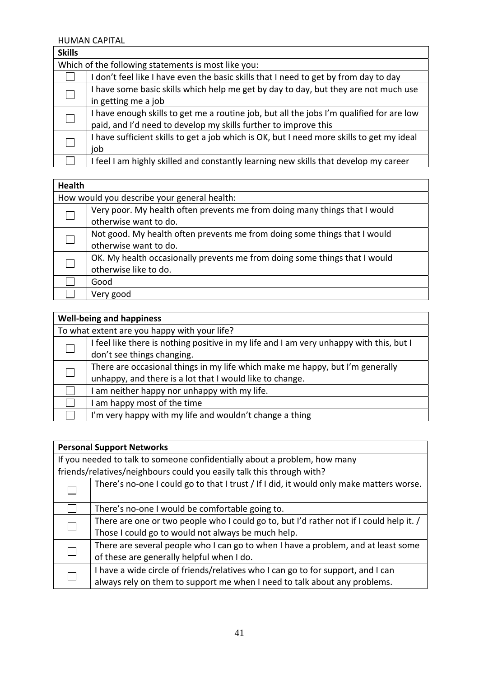HUMAN CAPITAL

| <b>Skills</b> |                                                                                           |  |  |
|---------------|-------------------------------------------------------------------------------------------|--|--|
|               | Which of the following statements is most like you:                                       |  |  |
|               | don't feel like I have even the basic skills that I need to get by from day to day        |  |  |
|               | I have some basic skills which help me get by day to day, but they are not much use       |  |  |
|               | in getting me a job                                                                       |  |  |
|               | I have enough skills to get me a routine job, but all the jobs I'm qualified for are low  |  |  |
|               | paid, and I'd need to develop my skills further to improve this                           |  |  |
|               | I have sufficient skills to get a job which is OK, but I need more skills to get my ideal |  |  |
|               | job                                                                                       |  |  |
|               | I feel I am highly skilled and constantly learning new skills that develop my career      |  |  |

| <b>Health</b> |                                                                            |  |  |
|---------------|----------------------------------------------------------------------------|--|--|
|               | How would you describe your general health:                                |  |  |
|               | Very poor. My health often prevents me from doing many things that I would |  |  |
|               | otherwise want to do.                                                      |  |  |
|               | Not good. My health often prevents me from doing some things that I would  |  |  |
|               | otherwise want to do.                                                      |  |  |
|               | OK. My health occasionally prevents me from doing some things that I would |  |  |
|               | otherwise like to do.                                                      |  |  |
|               | Good                                                                       |  |  |
|               | Very good                                                                  |  |  |
|               |                                                                            |  |  |

| <b>Well-being and happiness</b> |                                                                                         |  |  |
|---------------------------------|-----------------------------------------------------------------------------------------|--|--|
|                                 | To what extent are you happy with your life?                                            |  |  |
|                                 | I feel like there is nothing positive in my life and I am very unhappy with this, but I |  |  |
|                                 | don't see things changing.                                                              |  |  |
|                                 | There are occasional things in my life which make me happy, but I'm generally           |  |  |
|                                 | unhappy, and there is a lot that I would like to change.                                |  |  |
|                                 | am neither happy nor unhappy with my life.                                              |  |  |
|                                 | am happy most of the time                                                               |  |  |
|                                 | I'm very happy with my life and wouldn't change a thing                                 |  |  |

| <b>Personal Support Networks</b>                                          |                                                                                         |
|---------------------------------------------------------------------------|-----------------------------------------------------------------------------------------|
| If you needed to talk to someone confidentially about a problem, how many |                                                                                         |
|                                                                           | friends/relatives/neighbours could you easily talk this through with?                   |
|                                                                           | There's no-one I could go to that I trust / If I did, it would only make matters worse. |
|                                                                           | There's no-one I would be comfortable going to.                                         |
|                                                                           | There are one or two people who I could go to, but I'd rather not if I could help it. / |
|                                                                           | Those I could go to would not always be much help.                                      |
|                                                                           | There are several people who I can go to when I have a problem, and at least some       |
|                                                                           | of these are generally helpful when I do.                                               |
|                                                                           | I have a wide circle of friends/relatives who I can go to for support, and I can        |
|                                                                           | always rely on them to support me when I need to talk about any problems.               |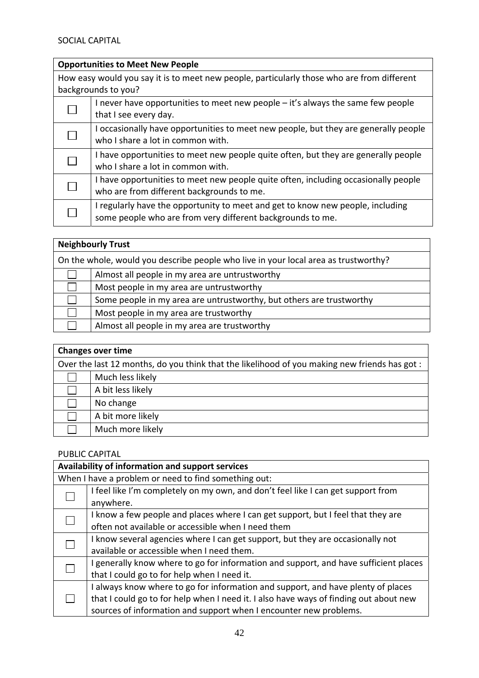# **Opportunities to Meet New People**

| How easy would you say it is to meet new people, particularly those who are from different<br>backgrounds to you? |                                                                                                                                              |
|-------------------------------------------------------------------------------------------------------------------|----------------------------------------------------------------------------------------------------------------------------------------------|
|                                                                                                                   | I never have opportunities to meet new people – it's always the same few people<br>that I see every day.                                     |
|                                                                                                                   | I occasionally have opportunities to meet new people, but they are generally people<br>who I share a lot in common with.                     |
|                                                                                                                   | I have opportunities to meet new people quite often, but they are generally people<br>who I share a lot in common with.                      |
|                                                                                                                   | I have opportunities to meet new people quite often, including occasionally people<br>who are from different backgrounds to me.              |
|                                                                                                                   | I regularly have the opportunity to meet and get to know new people, including<br>some people who are from very different backgrounds to me. |

| <b>Neighbourly Trust</b>                                                            |                                                                      |
|-------------------------------------------------------------------------------------|----------------------------------------------------------------------|
| On the whole, would you describe people who live in your local area as trustworthy? |                                                                      |
|                                                                                     | Almost all people in my area are untrustworthy                       |
|                                                                                     | Most people in my area are untrustworthy                             |
|                                                                                     | Some people in my area are untrustworthy, but others are trustworthy |
|                                                                                     | Most people in my area are trustworthy                               |
|                                                                                     | Almost all people in my area are trustworthy                         |

| <b>Changes over time</b>                                                                      |                   |
|-----------------------------------------------------------------------------------------------|-------------------|
| Over the last 12 months, do you think that the likelihood of you making new friends has got : |                   |
|                                                                                               | Much less likely  |
|                                                                                               | A bit less likely |
|                                                                                               | No change         |
|                                                                                               | A bit more likely |
|                                                                                               | Much more likely  |

### PUBLIC CAPITAL

|  | Availability of information and support services                                      |  |
|--|---------------------------------------------------------------------------------------|--|
|  | When I have a problem or need to find something out:                                  |  |
|  | I feel like I'm completely on my own, and don't feel like I can get support from      |  |
|  | anywhere.                                                                             |  |
|  | I know a few people and places where I can get support, but I feel that they are      |  |
|  | often not available or accessible when I need them                                    |  |
|  | I know several agencies where I can get support, but they are occasionally not        |  |
|  | available or accessible when I need them.                                             |  |
|  | I generally know where to go for information and support, and have sufficient places  |  |
|  | that I could go to for help when I need it.                                           |  |
|  | I always know where to go for information and support, and have plenty of places      |  |
|  | that I could go to for help when I need it. I also have ways of finding out about new |  |
|  | sources of information and support when I encounter new problems.                     |  |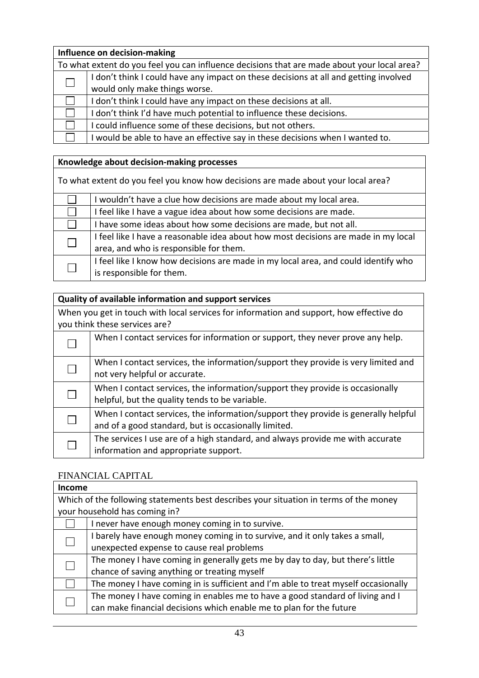| Influence on decision-making |                                                                                             |
|------------------------------|---------------------------------------------------------------------------------------------|
|                              | To what extent do you feel you can influence decisions that are made about your local area? |
|                              | I don't think I could have any impact on these decisions at all and getting involved        |
|                              | would only make things worse.                                                               |
|                              | I don't think I could have any impact on these decisions at all.                            |
|                              | I don't think I'd have much potential to influence these decisions.                         |
|                              | I could influence some of these decisions, but not others.                                  |
|                              | I would be able to have an effective say in these decisions when I wanted to.               |

### **Knowledge about decision‐making processes**

| To what extent do you feel you know how decisions are made about your local area? |                                                                                    |
|-----------------------------------------------------------------------------------|------------------------------------------------------------------------------------|
|                                                                                   | I wouldn't have a clue how decisions are made about my local area.                 |
|                                                                                   | I feel like I have a vague idea about how some decisions are made.                 |
|                                                                                   | I have some ideas about how some decisions are made, but not all.                  |
|                                                                                   | I feel like I have a reasonable idea about how most decisions are made in my local |
|                                                                                   | area, and who is responsible for them.                                             |
|                                                                                   | I feel like I know how decisions are made in my local area, and could identify who |
|                                                                                   | is responsible for them.                                                           |

### **Quality of available information and support services**

When you get in touch with local services for information and support, how effective do you think these services are?

| When I contact services for information or support, they never prove any help.                                                             |
|--------------------------------------------------------------------------------------------------------------------------------------------|
| When I contact services, the information/support they provide is very limited and<br>not very helpful or accurate.                         |
| When I contact services, the information/support they provide is occasionally<br>helpful, but the quality tends to be variable.            |
| When I contact services, the information/support they provide is generally helpful<br>and of a good standard, but is occasionally limited. |
| The services I use are of a high standard, and always provide me with accurate<br>information and appropriate support.                     |

#### FINANCIAL CAPITAL

| <b>Income</b> |                                                                                       |  |
|---------------|---------------------------------------------------------------------------------------|--|
|               | Which of the following statements best describes your situation in terms of the money |  |
|               | your household has coming in?                                                         |  |
|               | never have enough money coming in to survive.                                         |  |
|               | I barely have enough money coming in to survive, and it only takes a small,           |  |
|               | unexpected expense to cause real problems                                             |  |
|               | The money I have coming in generally gets me by day to day, but there's little        |  |
|               | chance of saving anything or treating myself                                          |  |
|               | The money I have coming in is sufficient and I'm able to treat myself occasionally    |  |
|               | The money I have coming in enables me to have a good standard of living and I         |  |
|               | can make financial decisions which enable me to plan for the future                   |  |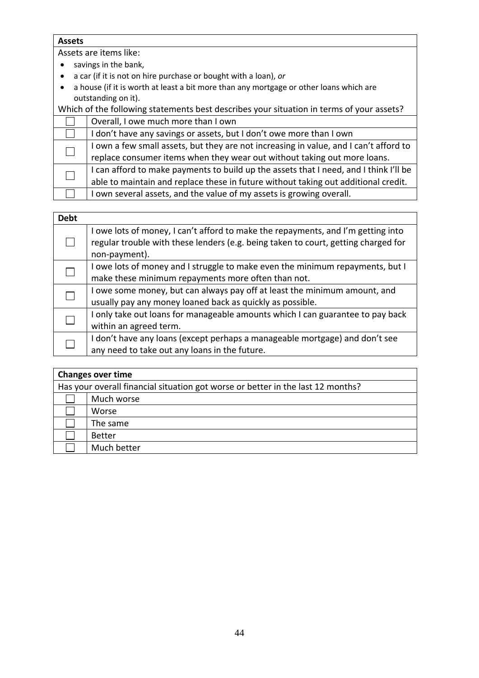#### **Assets**

Assets are items like:

- savings in the bank,
- a car (if it is not on hire purchase or bought with a loan), *or*
- a house (if it is worth at least a bit more than any mortgage or other loans which are outstanding on it).

| Which of the following statements best describes your situation in terms of your assets? |                                                                                       |
|------------------------------------------------------------------------------------------|---------------------------------------------------------------------------------------|
|                                                                                          | Overall, I owe much more than I own                                                   |
|                                                                                          | I don't have any savings or assets, but I don't owe more than I own                   |
|                                                                                          | I own a few small assets, but they are not increasing in value, and I can't afford to |
|                                                                                          | replace consumer items when they wear out without taking out more loans.              |
|                                                                                          | I can afford to make payments to build up the assets that I need, and I think I'll be |
|                                                                                          | able to maintain and replace these in future without taking out additional credit.    |
|                                                                                          | I own several assets, and the value of my assets is growing overall.                  |

| <b>Debt</b> |                                                                                                                                                                                         |
|-------------|-----------------------------------------------------------------------------------------------------------------------------------------------------------------------------------------|
|             | I owe lots of money, I can't afford to make the repayments, and I'm getting into<br>regular trouble with these lenders (e.g. being taken to court, getting charged for<br>non-payment). |
|             | I owe lots of money and I struggle to make even the minimum repayments, but I<br>make these minimum repayments more often than not.                                                     |
|             | I owe some money, but can always pay off at least the minimum amount, and<br>usually pay any money loaned back as quickly as possible.                                                  |
|             | I only take out loans for manageable amounts which I can guarantee to pay back<br>within an agreed term.                                                                                |
|             | I don't have any loans (except perhaps a manageable mortgage) and don't see<br>any need to take out any loans in the future.                                                            |

| <b>Changes over time</b>                                                        |  |
|---------------------------------------------------------------------------------|--|
| Has your overall financial situation got worse or better in the last 12 months? |  |
| Much worse                                                                      |  |
| Worse                                                                           |  |
| The same                                                                        |  |
| <b>Better</b>                                                                   |  |
| Much better                                                                     |  |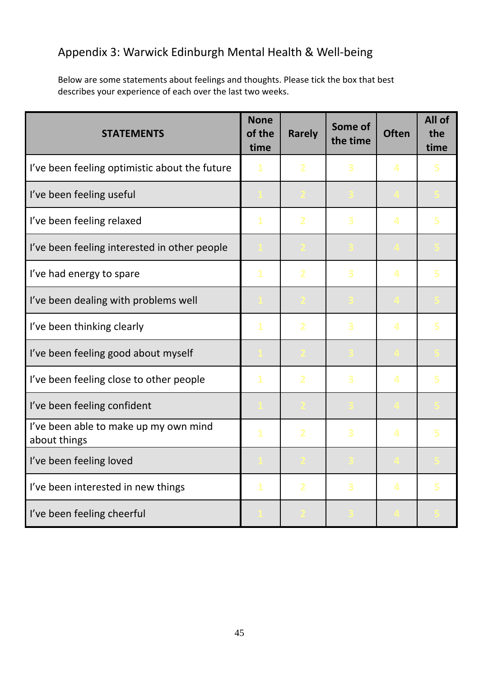# Appendix 3: Warwick Edinburgh Mental Health & Well‐being

Below are some statements about feelings and thoughts. Please tick the box that best describes your experience of each over the last two weeks.

| <b>STATEMENTS</b>                                     | <b>None</b><br>of the<br>time | <b>Rarely</b> | Some of<br>the time | <b>Often</b> | All of<br>the<br>time |
|-------------------------------------------------------|-------------------------------|---------------|---------------------|--------------|-----------------------|
| I've been feeling optimistic about the future         | 1                             |               | 3                   | 4            |                       |
| I've been feeling useful                              |                               |               |                     |              |                       |
| I've been feeling relaxed                             | 1                             |               | 3                   | 4            |                       |
| I've been feeling interested in other people          |                               |               |                     |              |                       |
| I've had energy to spare                              | 1                             |               | 3                   | 4            |                       |
| I've been dealing with problems well                  |                               |               |                     |              |                       |
| I've been thinking clearly                            | 1                             |               | 3                   | 4            |                       |
| I've been feeling good about myself                   |                               |               |                     |              |                       |
| I've been feeling close to other people               | 1                             |               | 3                   | 4            |                       |
| I've been feeling confident                           |                               |               |                     |              |                       |
| I've been able to make up my own mind<br>about things | $\mathbf{1}$                  |               | 3                   | 4            |                       |
| I've been feeling loved                               |                               |               |                     |              |                       |
| I've been interested in new things                    | $\mathbf{1}$                  | 2             | 3                   | 4            | 5                     |
| I've been feeling cheerful                            |                               |               |                     |              |                       |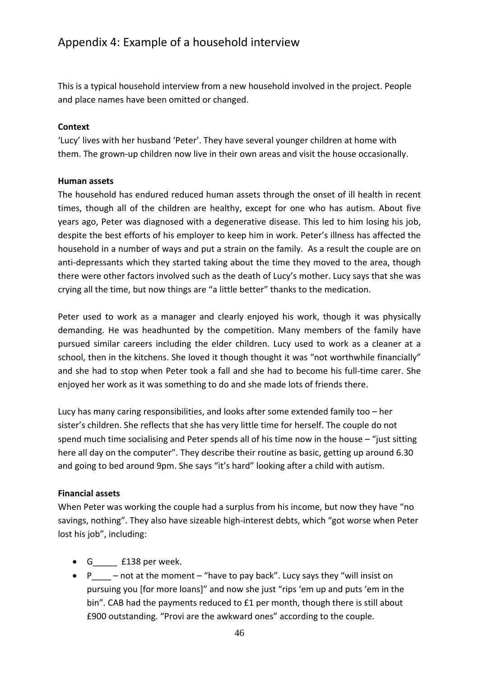# Appendix 4: Example of a household interview

This is a typical household interview from a new household involved in the project. People and place names have been omitted or changed.

#### **Context**

'Lucy' lives with her husband 'Peter'. They have several younger children at home with them. The grown‐up children now live in their own areas and visit the house occasionally.

#### **Human assets**

The household has endured reduced human assets through the onset of ill health in recent times, though all of the children are healthy, except for one who has autism. About five years ago, Peter was diagnosed with a degenerative disease. This led to him losing his job, despite the best efforts of his employer to keep him in work. Peter's illness has affected the household in a number of ways and put a strain on the family. As a result the couple are on anti-depressants which they started taking about the time they moved to the area, though there were other factors involved such as the death of Lucy's mother. Lucy says that she was crying all the time, but now things are "a little better" thanks to the medication.

Peter used to work as a manager and clearly enjoyed his work, though it was physically demanding. He was headhunted by the competition. Many members of the family have pursued similar careers including the elder children. Lucy used to work as a cleaner at a school, then in the kitchens. She loved it though thought it was "not worthwhile financially" and she had to stop when Peter took a fall and she had to become his full-time carer. She enjoyed her work as it was something to do and she made lots of friends there.

Lucy has many caring responsibilities, and looks after some extended family too – her sister's children. She reflects that she has very little time for herself. The couple do not spend much time socialising and Peter spends all of his time now in the house – "just sitting here all day on the computer". They describe their routine as basic, getting up around 6.30 and going to bed around 9pm. She says "it's hard" looking after a child with autism.

#### **Financial assets**

When Peter was working the couple had a surplus from his income, but now they have "no savings, nothing". They also have sizeable high-interest debts, which "got worse when Peter lost his job", including:

- G\_\_\_\_\_ £138 per week.
- $P$  not at the moment "have to pay back". Lucy says they "will insist on pursuing you [for more loans]" and now she just "rips 'em up and puts 'em in the bin". CAB had the payments reduced to £1 per month, though there is still about £900 outstanding. "Provi are the awkward ones" according to the couple.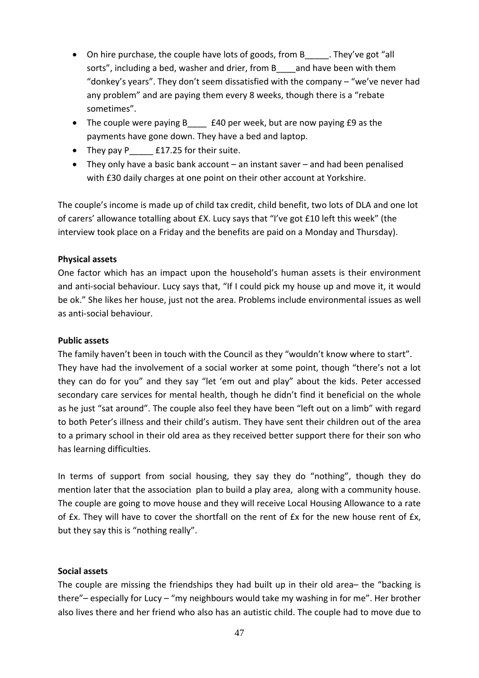- On hire purchase, the couple have lots of goods, from B They've got "all sorts", including a bed, washer and drier, from B and have been with them "donkey's years". They don't seem dissatisfied with the company – "we've never had any problem" and are paying them every 8 weeks, though there is a "rebate sometimes".
- The couple were paying B E40 per week, but are now paying £9 as the payments have gone down. They have a bed and laptop.
- They pay P **E17.25** for their suite.
- They only have a basic bank account an instant saver and had been penalised with £30 daily charges at one point on their other account at Yorkshire.

The couple's income is made up of child tax credit, child benefit, two lots of DLA and one lot of carers' allowance totalling about £X. Lucy says that "I've got £10 left this week" (the interview took place on a Friday and the benefits are paid on a Monday and Thursday).

#### **Physical assets**

One factor which has an impact upon the household's human assets is their environment and anti-social behaviour. Lucy says that, "If I could pick my house up and move it, it would be ok." She likes her house, just not the area. Problems include environmental issues as well as anti‐social behaviour.

#### **Public assets**

The family haven't been in touch with the Council as they "wouldn't know where to start". They have had the involvement of a social worker at some point, though "there's not a lot they can do for you" and they say "let 'em out and play" about the kids. Peter accessed secondary care services for mental health, though he didn't find it beneficial on the whole as he just "sat around". The couple also feel they have been "left out on a limb" with regard to both Peter's illness and their child's autism. They have sent their children out of the area to a primary school in their old area as they received better support there for their son who has learning difficulties.

In terms of support from social housing, they say they do "nothing", though they do mention later that the association plan to build a play area, along with a community house. The couple are going to move house and they will receive Local Housing Allowance to a rate of £x. They will have to cover the shortfall on the rent of £x for the new house rent of £x, but they say this is "nothing really".

#### **Social assets**

The couple are missing the friendships they had built up in their old area– the "backing is there"– especially for Lucy – "my neighbours would take my washing in for me". Her brother also lives there and her friend who also has an autistic child. The couple had to move due to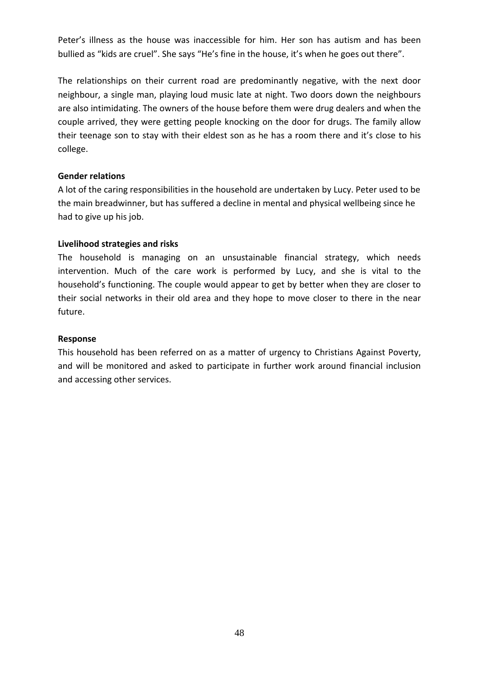Peter's illness as the house was inaccessible for him. Her son has autism and has been bullied as "kids are cruel". She says "He's fine in the house, it's when he goes out there".

The relationships on their current road are predominantly negative, with the next door neighbour, a single man, playing loud music late at night. Two doors down the neighbours are also intimidating. The owners of the house before them were drug dealers and when the couple arrived, they were getting people knocking on the door for drugs. The family allow their teenage son to stay with their eldest son as he has a room there and it's close to his college.

#### **Gender relations**

A lot of the caring responsibilities in the household are undertaken by Lucy. Peter used to be the main breadwinner, but has suffered a decline in mental and physical wellbeing since he had to give up his job.

#### **Livelihood strategies and risks**

The household is managing on an unsustainable financial strategy, which needs intervention. Much of the care work is performed by Lucy, and she is vital to the household's functioning. The couple would appear to get by better when they are closer to their social networks in their old area and they hope to move closer to there in the near future.

#### **Response**

This household has been referred on as a matter of urgency to Christians Against Poverty, and will be monitored and asked to participate in further work around financial inclusion and accessing other services.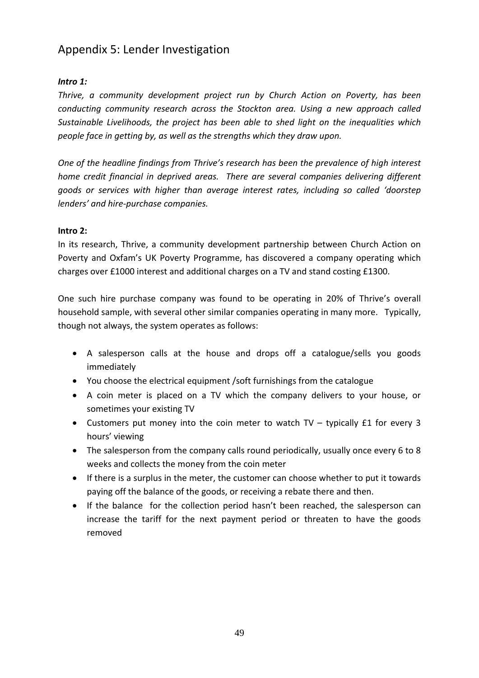# Appendix 5: Lender Investigation

### *Intro 1:*

*Thrive, a community development project run by Church Action on Poverty, has been conducting community research across the Stockton area. Using a new approach called Sustainable Livelihoods, the project has been able to shed light on the inequalities which people face in getting by, as well as the strengths which they draw upon.* 

*One of the headline findings from Thrive's research has been the prevalence of high interest home credit financial in deprived areas. There are several companies delivering different goods or services with higher than average interest rates, including so called 'doorstep lenders' and hire‐purchase companies.* 

#### **Intro 2:**

In its research, Thrive, a community development partnership between Church Action on Poverty and Oxfam's UK Poverty Programme, has discovered a company operating which charges over £1000 interest and additional charges on a TV and stand costing £1300.

One such hire purchase company was found to be operating in 20% of Thrive's overall household sample, with several other similar companies operating in many more. Typically, though not always, the system operates as follows:

- A salesperson calls at the house and drops off a catalogue/sells you goods immediately
- You choose the electrical equipment /soft furnishings from the catalogue
- A coin meter is placed on a TV which the company delivers to your house, or sometimes your existing TV
- Customers put money into the coin meter to watch TV typically £1 for every 3 hours' viewing
- The salesperson from the company calls round periodically, usually once every 6 to 8 weeks and collects the money from the coin meter
- If there is a surplus in the meter, the customer can choose whether to put it towards paying off the balance of the goods, or receiving a rebate there and then.
- If the balance for the collection period hasn't been reached, the salesperson can increase the tariff for the next payment period or threaten to have the goods removed